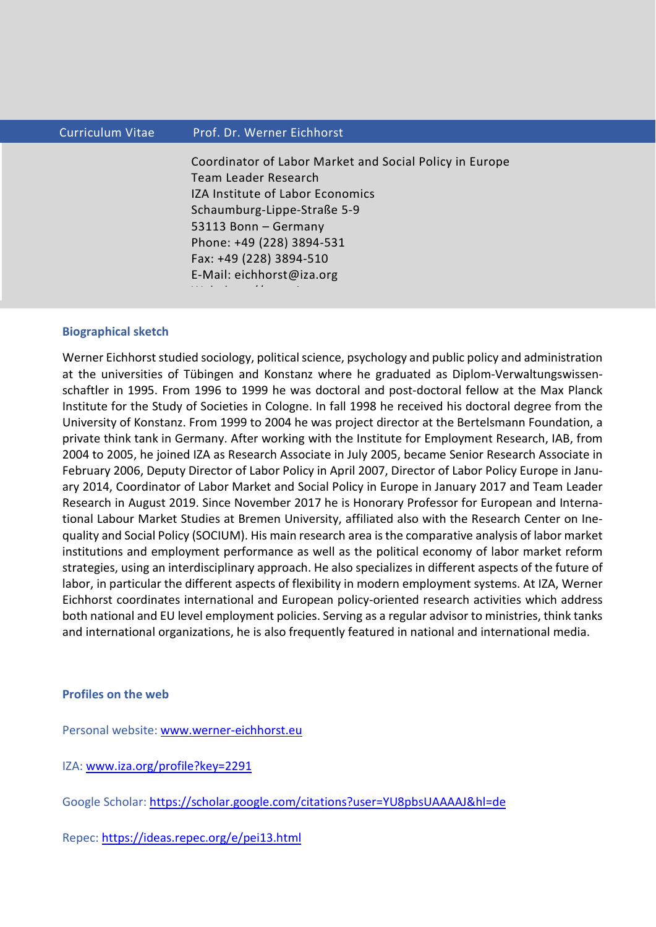## Curriculum Vitae Prof. Dr. Werner Eichhorst

Coordinator of Labor Market and Social Policy in Europe Team Leader Research IZA Institute of Labor Economics Schaumburg-Lippe-Straße 5-9 53113 Bonn – Germany Phone: +49 (228) 3894-531 Fax: +49 (228) 3894-510 E-Mail: eichhorst@iza.org W b h // international control of the control of the control of the control of the control of the control of t<br>The control of the control of the control of the control of the control of the control of the control of the c

## **Biographical sketch**

Werner Eichhorst studied sociology, political science, psychology and public policy and administration at the universities of Tübingen and Konstanz where he graduated as Diplom-Verwaltungswissenschaftler in 1995. From 1996 to 1999 he was doctoral and post-doctoral fellow at the Max Planck Institute for the Study of Societies in Cologne. In fall 1998 he received his doctoral degree from the University of Konstanz. From 1999 to 2004 he was project director at the Bertelsmann Foundation, a private think tank in Germany. After working with the Institute for Employment Research, IAB, from 2004 to 2005, he joined IZA as Research Associate in July 2005, became Senior Research Associate in February 2006, Deputy Director of Labor Policy in April 2007, Director of Labor Policy Europe in January 2014, Coordinator of Labor Market and Social Policy in Europe in January 2017 and Team Leader Research in August 2019. Since November 2017 he is Honorary Professor for European and International Labour Market Studies at Bremen University, affiliated also with the Research Center on Inequality and Social Policy (SOCIUM). His main research area is the comparative analysis of labor market institutions and employment performance as well as the political economy of labor market reform strategies, using an interdisciplinary approach. He also specializes in different aspects of the future of labor, in particular the different aspects of flexibility in modern employment systems. At IZA, Werner Eichhorst coordinates international and European policy-oriented research activities which address both national and EU level employment policies. Serving as a regular advisor to ministries, think tanks and international organizations, he is also frequently featured in national and international media.

## **Profiles on the web**

Personal website: [www.werner-eichhorst.eu](http://www.werner-eichhorst.eu/)

IZA: [www.iza.org/profile?key=2291](http://www.iza.org/profile?key=2291)

Google Scholar:<https://scholar.google.com/citations?user=YU8pbsUAAAAJ&hl=de>

Repec:<https://ideas.repec.org/e/pei13.html>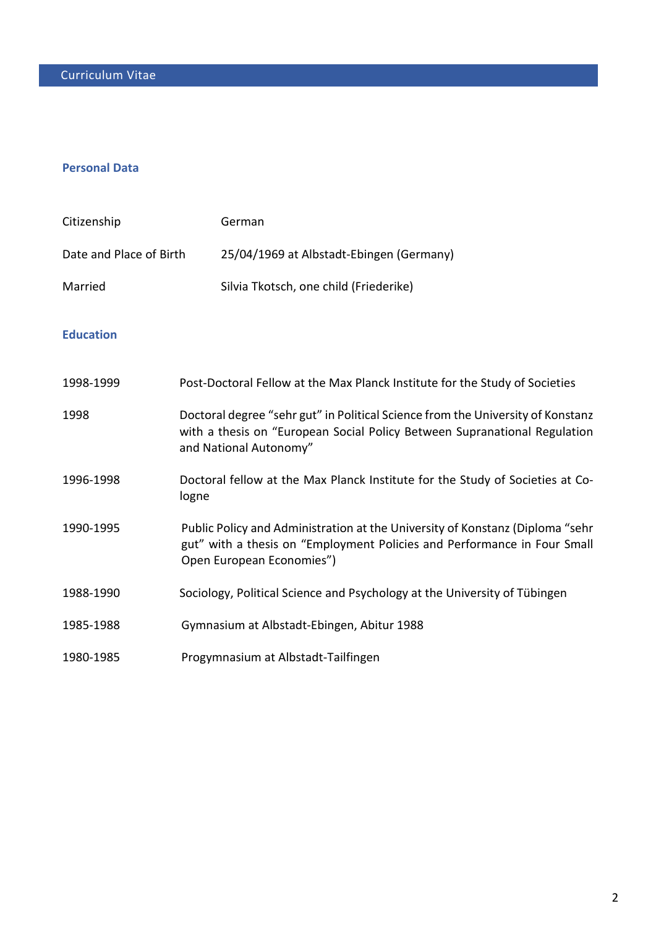# **Personal Data**

| Citizenship             | German                                                                                                                                                                                 |
|-------------------------|----------------------------------------------------------------------------------------------------------------------------------------------------------------------------------------|
| Date and Place of Birth | 25/04/1969 at Albstadt-Ebingen (Germany)                                                                                                                                               |
| Married                 | Silvia Tkotsch, one child (Friederike)                                                                                                                                                 |
| <b>Education</b>        |                                                                                                                                                                                        |
| 1998-1999               | Post-Doctoral Fellow at the Max Planck Institute for the Study of Societies                                                                                                            |
| 1998                    | Doctoral degree "sehr gut" in Political Science from the University of Konstanz<br>with a thesis on "European Social Policy Between Supranational Regulation<br>and National Autonomy" |
| 1996-1998               | Doctoral fellow at the Max Planck Institute for the Study of Societies at Co-<br>logne                                                                                                 |
| 1990-1995               | Public Policy and Administration at the University of Konstanz (Diploma "sehr<br>gut" with a thesis on "Employment Policies and Performance in Four Small<br>Open European Economies") |
| 1988-1990               | Sociology, Political Science and Psychology at the University of Tübingen                                                                                                              |
| 1985-1988               | Gymnasium at Albstadt-Ebingen, Abitur 1988                                                                                                                                             |
| 1980-1985               | Progymnasium at Albstadt-Tailfingen                                                                                                                                                    |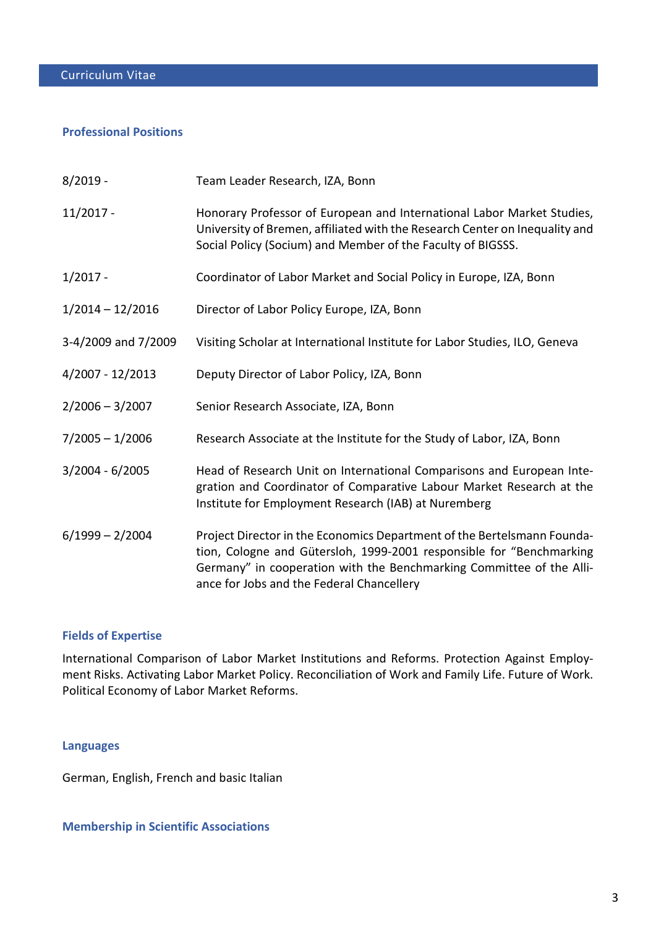## **Professional Positions**

| $8/2019 -$          | Team Leader Research, IZA, Bonn                                                                                                                                                                                                                                      |  |
|---------------------|----------------------------------------------------------------------------------------------------------------------------------------------------------------------------------------------------------------------------------------------------------------------|--|
| $11/2017 -$         | Honorary Professor of European and International Labor Market Studies,<br>University of Bremen, affiliated with the Research Center on Inequality and<br>Social Policy (Socium) and Member of the Faculty of BIGSSS.                                                 |  |
| $1/2017 -$          | Coordinator of Labor Market and Social Policy in Europe, IZA, Bonn                                                                                                                                                                                                   |  |
| $1/2014 - 12/2016$  | Director of Labor Policy Europe, IZA, Bonn                                                                                                                                                                                                                           |  |
| 3-4/2009 and 7/2009 | Visiting Scholar at International Institute for Labor Studies, ILO, Geneva                                                                                                                                                                                           |  |
| 4/2007 - 12/2013    | Deputy Director of Labor Policy, IZA, Bonn                                                                                                                                                                                                                           |  |
| $2/2006 - 3/2007$   | Senior Research Associate, IZA, Bonn                                                                                                                                                                                                                                 |  |
| $7/2005 - 1/2006$   | Research Associate at the Institute for the Study of Labor, IZA, Bonn                                                                                                                                                                                                |  |
| $3/2004 - 6/2005$   | Head of Research Unit on International Comparisons and European Inte-<br>gration and Coordinator of Comparative Labour Market Research at the<br>Institute for Employment Research (IAB) at Nuremberg                                                                |  |
| $6/1999 - 2/2004$   | Project Director in the Economics Department of the Bertelsmann Founda-<br>tion, Cologne and Gütersloh, 1999-2001 responsible for "Benchmarking<br>Germany" in cooperation with the Benchmarking Committee of the Alli-<br>ance for Jobs and the Federal Chancellery |  |

## **Fields of Expertise**

International Comparison of Labor Market Institutions and Reforms. Protection Against Employment Risks. Activating Labor Market Policy. Reconciliation of Work and Family Life. Future of Work. Political Economy of Labor Market Reforms.

## **Languages**

German, English, French and basic Italian

## **Membership in Scientific Associations**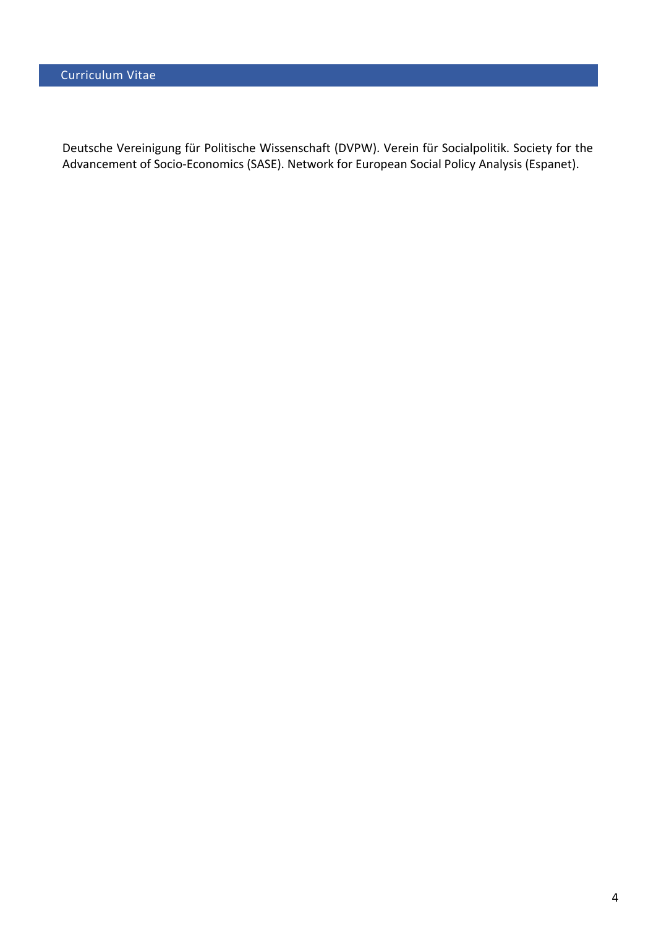Deutsche Vereinigung für Politische Wissenschaft (DVPW). Verein für Socialpolitik. Society for the Advancement of Socio-Economics (SASE). Network for European Social Policy Analysis (Espanet).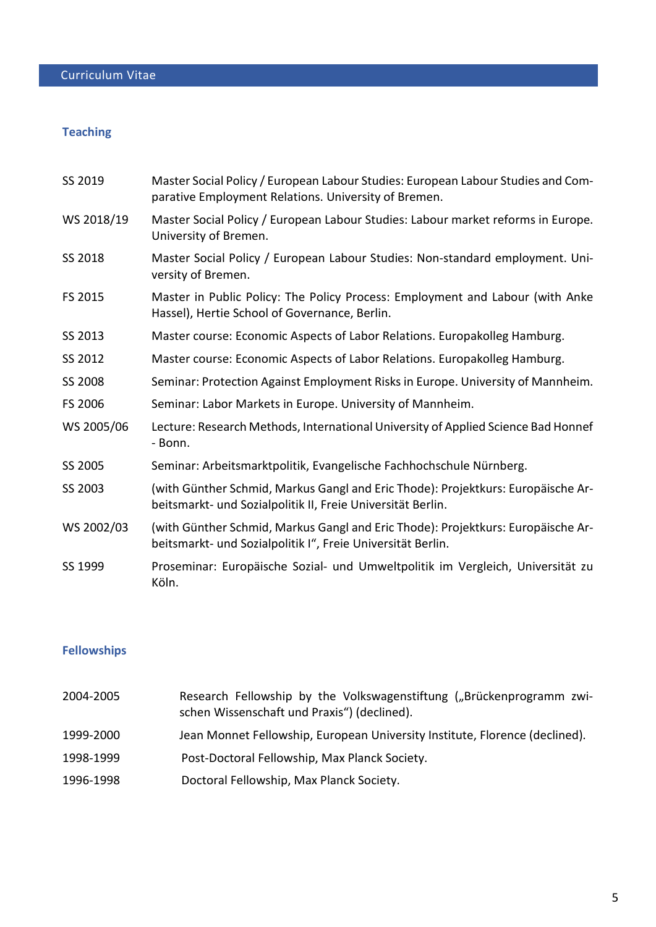# **Teaching**

| SS 2019    | Master Social Policy / European Labour Studies: European Labour Studies and Com-<br>parative Employment Relations. University of Bremen.        |
|------------|-------------------------------------------------------------------------------------------------------------------------------------------------|
| WS 2018/19 | Master Social Policy / European Labour Studies: Labour market reforms in Europe.<br>University of Bremen.                                       |
| SS 2018    | Master Social Policy / European Labour Studies: Non-standard employment. Uni-<br>versity of Bremen.                                             |
| FS 2015    | Master in Public Policy: The Policy Process: Employment and Labour (with Anke<br>Hassel), Hertie School of Governance, Berlin.                  |
| SS 2013    | Master course: Economic Aspects of Labor Relations. Europakolleg Hamburg.                                                                       |
| SS 2012    | Master course: Economic Aspects of Labor Relations. Europakolleg Hamburg.                                                                       |
| SS 2008    | Seminar: Protection Against Employment Risks in Europe. University of Mannheim.                                                                 |
| FS 2006    | Seminar: Labor Markets in Europe. University of Mannheim.                                                                                       |
| WS 2005/06 | Lecture: Research Methods, International University of Applied Science Bad Honnef<br>- Bonn.                                                    |
| SS 2005    | Seminar: Arbeitsmarktpolitik, Evangelische Fachhochschule Nürnberg.                                                                             |
| SS 2003    | (with Günther Schmid, Markus Gangl and Eric Thode): Projektkurs: Europäische Ar-<br>beitsmarkt- und Sozialpolitik II, Freie Universität Berlin. |
| WS 2002/03 | (with Günther Schmid, Markus Gangl and Eric Thode): Projektkurs: Europäische Ar-<br>beitsmarkt- und Sozialpolitik I", Freie Universität Berlin. |
| SS 1999    | Proseminar: Europäische Sozial- und Umweltpolitik im Vergleich, Universität zu<br>Köln.                                                         |

# **Fellowships**

| 2004-2005 | Research Fellowship by the Volkswagenstiftung ("Brückenprogramm zwi-<br>schen Wissenschaft und Praxis") (declined). |
|-----------|---------------------------------------------------------------------------------------------------------------------|
| 1999-2000 | Jean Monnet Fellowship, European University Institute, Florence (declined).                                         |
| 1998-1999 | Post-Doctoral Fellowship, Max Planck Society.                                                                       |
| 1996-1998 | Doctoral Fellowship, Max Planck Society.                                                                            |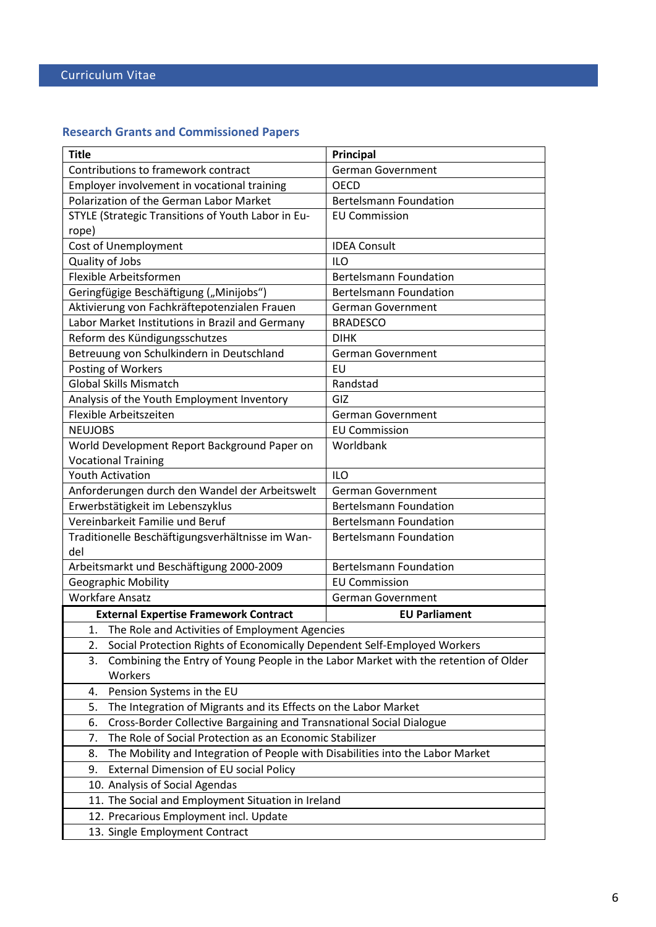# **Research Grants and Commissioned Papers**

| <b>Title</b>                                                                                                                                                             | <b>Principal</b>              |  |  |  |
|--------------------------------------------------------------------------------------------------------------------------------------------------------------------------|-------------------------------|--|--|--|
| Contributions to framework contract                                                                                                                                      | <b>German Government</b>      |  |  |  |
| Employer involvement in vocational training                                                                                                                              | <b>OECD</b>                   |  |  |  |
| Polarization of the German Labor Market                                                                                                                                  | <b>Bertelsmann Foundation</b> |  |  |  |
| STYLE (Strategic Transitions of Youth Labor in Eu-                                                                                                                       | <b>EU Commission</b>          |  |  |  |
| rope)                                                                                                                                                                    |                               |  |  |  |
| Cost of Unemployment                                                                                                                                                     | <b>IDEA Consult</b>           |  |  |  |
| Quality of Jobs                                                                                                                                                          | <b>ILO</b>                    |  |  |  |
| Flexible Arbeitsformen                                                                                                                                                   | <b>Bertelsmann Foundation</b> |  |  |  |
| Geringfügige Beschäftigung ("Minijobs")                                                                                                                                  | <b>Bertelsmann Foundation</b> |  |  |  |
| Aktivierung von Fachkräftepotenzialen Frauen                                                                                                                             | <b>German Government</b>      |  |  |  |
| Labor Market Institutions in Brazil and Germany                                                                                                                          | <b>BRADESCO</b>               |  |  |  |
| Reform des Kündigungsschutzes                                                                                                                                            | <b>DIHK</b>                   |  |  |  |
| Betreuung von Schulkindern in Deutschland                                                                                                                                | <b>German Government</b>      |  |  |  |
| Posting of Workers                                                                                                                                                       | EU                            |  |  |  |
| <b>Global Skills Mismatch</b>                                                                                                                                            | Randstad                      |  |  |  |
| Analysis of the Youth Employment Inventory                                                                                                                               | GIZ                           |  |  |  |
| Flexible Arbeitszeiten                                                                                                                                                   | <b>German Government</b>      |  |  |  |
| <b>NEUJOBS</b>                                                                                                                                                           | <b>EU Commission</b>          |  |  |  |
| World Development Report Background Paper on                                                                                                                             | Worldbank                     |  |  |  |
| <b>Vocational Training</b>                                                                                                                                               |                               |  |  |  |
| <b>Youth Activation</b>                                                                                                                                                  | <b>ILO</b>                    |  |  |  |
| Anforderungen durch den Wandel der Arbeitswelt                                                                                                                           | <b>German Government</b>      |  |  |  |
| Erwerbstätigkeit im Lebenszyklus                                                                                                                                         | <b>Bertelsmann Foundation</b> |  |  |  |
| Vereinbarkeit Familie und Beruf                                                                                                                                          | <b>Bertelsmann Foundation</b> |  |  |  |
| Traditionelle Beschäftigungsverhältnisse im Wan-                                                                                                                         | <b>Bertelsmann Foundation</b> |  |  |  |
| del                                                                                                                                                                      |                               |  |  |  |
| Arbeitsmarkt und Beschäftigung 2000-2009                                                                                                                                 | <b>Bertelsmann Foundation</b> |  |  |  |
| <b>Geographic Mobility</b>                                                                                                                                               | <b>EU Commission</b>          |  |  |  |
| <b>Workfare Ansatz</b>                                                                                                                                                   | <b>German Government</b>      |  |  |  |
| <b>External Expertise Framework Contract</b>                                                                                                                             | <b>EU Parliament</b>          |  |  |  |
| 1. The Role and Activities of Employment Agencies                                                                                                                        |                               |  |  |  |
| 2.                                                                                                                                                                       |                               |  |  |  |
| Combining the Entry of Young People in the Labor Market with the retention of Older<br>3.                                                                                |                               |  |  |  |
| Workers                                                                                                                                                                  |                               |  |  |  |
| Pension Systems in the EU<br>4.                                                                                                                                          |                               |  |  |  |
| The Integration of Migrants and its Effects on the Labor Market<br>5.                                                                                                    |                               |  |  |  |
| Cross-Border Collective Bargaining and Transnational Social Dialogue<br>6.                                                                                               |                               |  |  |  |
| The Role of Social Protection as an Economic Stabilizer<br>7.                                                                                                            |                               |  |  |  |
| The Mobility and Integration of People with Disabilities into the Labor Market<br>8.                                                                                     |                               |  |  |  |
| External Dimension of EU social Policy<br>9.                                                                                                                             |                               |  |  |  |
| 10. Analysis of Social Agendas                                                                                                                                           |                               |  |  |  |
|                                                                                                                                                                          |                               |  |  |  |
|                                                                                                                                                                          |                               |  |  |  |
| 13. Single Employment Contract                                                                                                                                           |                               |  |  |  |
| Social Protection Rights of Economically Dependent Self-Employed Workers<br>11. The Social and Employment Situation in Ireland<br>12. Precarious Employment incl. Update |                               |  |  |  |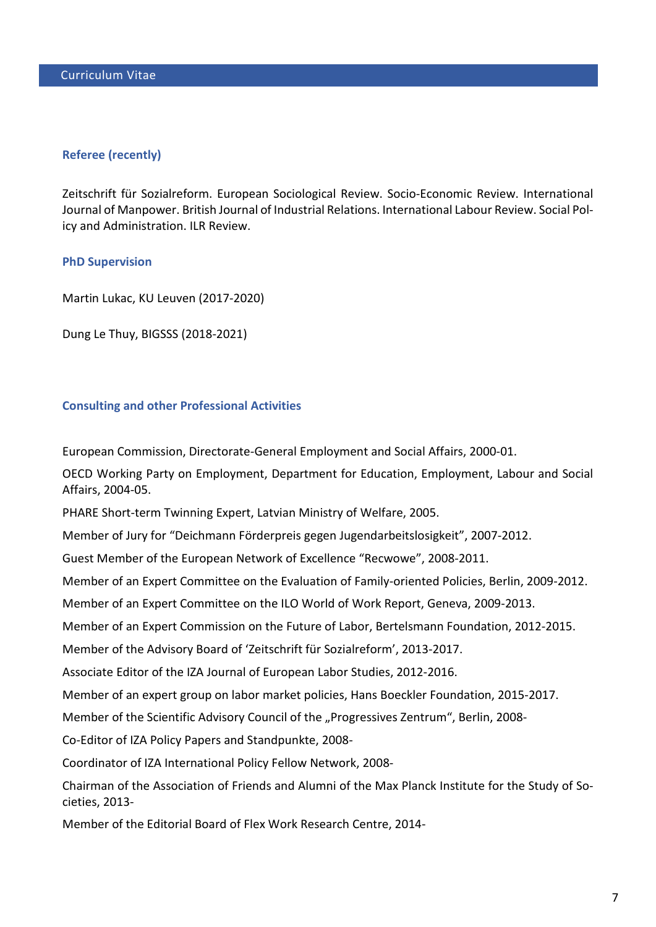## **Referee (recently)**

Zeitschrift für Sozialreform. European Sociological Review. Socio-Economic Review. International Journal of Manpower. British Journal of Industrial Relations. International Labour Review. Social Policy and Administration. ILR Review.

## **PhD Supervision**

Martin Lukac, KU Leuven (2017-2020)

Dung Le Thuy, BIGSSS (2018-2021)

## **Consulting and other Professional Activities**

European Commission, Directorate-General Employment and Social Affairs, 2000-01.

OECD Working Party on Employment, Department for Education, Employment, Labour and Social Affairs, 2004-05.

PHARE Short-term Twinning Expert, Latvian Ministry of Welfare, 2005.

Member of Jury for "Deichmann Förderpreis gegen Jugendarbeitslosigkeit", 2007-2012.

Guest Member of the European Network of Excellence "Recwowe", 2008-2011.

Member of an Expert Committee on the Evaluation of Family-oriented Policies, Berlin, 2009-2012.

Member of an Expert Committee on the ILO World of Work Report, Geneva, 2009-2013.

Member of an Expert Commission on the Future of Labor, Bertelsmann Foundation, 2012-2015.

Member of the Advisory Board of 'Zeitschrift für Sozialreform', 2013-2017.

Associate Editor of the IZA Journal of European Labor Studies, 2012-2016.

Member of an expert group on labor market policies, Hans Boeckler Foundation, 2015-2017.

Member of the Scientific Advisory Council of the "Progressives Zentrum", Berlin, 2008-

Co-Editor of IZA Policy Papers and Standpunkte, 2008-

Coordinator of IZA International Policy Fellow Network, 2008-

Chairman of the Association of Friends and Alumni of the Max Planck Institute for the Study of Societies, 2013-

Member of the Editorial Board of Flex Work Research Centre, 2014-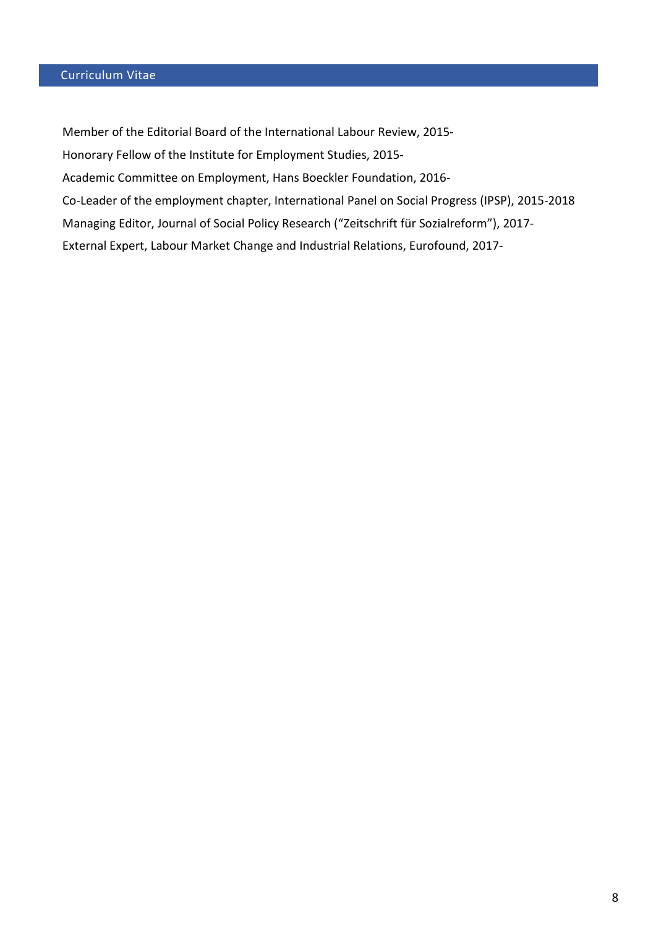Member of the Editorial Board of the International Labour Review, 2015- Honorary Fellow of the Institute for Employment Studies, 2015- Academic Committee on Employment, Hans Boeckler Foundation, 2016- Co-Leader of the employment chapter, International Panel on Social Progress (IPSP), 2015-2018 Managing Editor, Journal of Social Policy Research ("Zeitschrift für Sozialreform"), 2017- External Expert, Labour Market Change and Industrial Relations, Eurofound, 2017-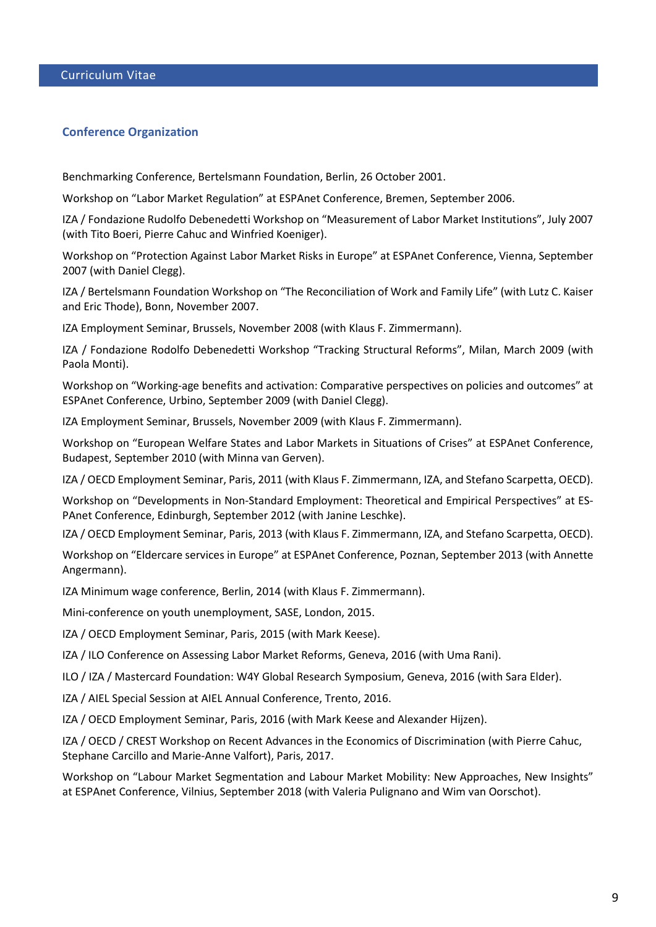## **Conference Organization**

Benchmarking Conference, Bertelsmann Foundation, Berlin, 26 October 2001.

Workshop on "Labor Market Regulation" at ESPAnet Conference, Bremen, September 2006.

IZA / Fondazione Rudolfo Debenedetti Workshop on "Measurement of Labor Market Institutions", July 2007 (with Tito Boeri, Pierre Cahuc and Winfried Koeniger).

Workshop on "Protection Against Labor Market Risks in Europe" at ESPAnet Conference, Vienna, September 2007 (with Daniel Clegg).

IZA / Bertelsmann Foundation Workshop on "The Reconciliation of Work and Family Life" (with Lutz C. Kaiser and Eric Thode), Bonn, November 2007.

IZA Employment Seminar, Brussels, November 2008 (with Klaus F. Zimmermann).

IZA / Fondazione Rodolfo Debenedetti Workshop "Tracking Structural Reforms", Milan, March 2009 (with Paola Monti).

Workshop on ["Working-age benefits and activation: Comparative perspectives on policies and outcomes"](http://www.espanet-italia.net/conference2009/call-for-abstracts/16.php) at ESPAnet Conference, Urbino, September 2009 (with Daniel Clegg).

IZA Employment Seminar, Brussels, November 2009 (with Klaus F. Zimmermann).

Workshop on "European Welfare States and Labor Markets in Situations of Crises" at ESPAnet Conference, Budapest, September 2010 (with Minna van Gerven).

IZA / OECD Employment Seminar, Paris, 2011 (with Klaus F. Zimmermann, IZA, and Stefano Scarpetta, OECD).

Workshop on ["Developments in Non-Standard Employment: Theoretical and Empirical Perspectives"](http://www.espanet2012.info/stream_list/developments_in_non-standard_employment_theoretical_and_empirical_perspectives) at ES-PAnet Conference, Edinburgh, September 2012 (with Janine Leschke).

IZA / OECD Employment Seminar, Paris, 2013 (with Klaus F. Zimmermann, IZA, and Stefano Scarpetta, OECD).

Workshop on "Eldercare services in Europe" at ESPAnet Conference, Poznan, September 2013 (with Annette Angermann).

IZA Minimum wage conference, Berlin, 2014 (with Klaus F. Zimmermann).

Mini-conference on youth unemployment, SASE, London, 2015.

IZA / OECD Employment Seminar, Paris, 2015 (with Mark Keese).

IZA / ILO Conference on Assessing Labor Market Reforms, Geneva, 2016 (with Uma Rani).

ILO / IZA / Mastercard Foundation: W4Y Global Research Symposium, Geneva, 2016 (with Sara Elder).

IZA / AIEL Special Session at AIEL Annual Conference, Trento, 2016.

IZA / OECD Employment Seminar, Paris, 2016 (with Mark Keese and Alexander Hijzen).

IZA / OECD / CREST Workshop on Recent Advances in the Economics of Discrimination (with Pierre Cahuc, Stephane Carcillo and Marie-Anne Valfort), Paris, 2017.

Workshop on "Labour Market Segmentation and Labour Market Mobility: New Approaches, New Insights" at ESPAnet Conference, Vilnius, September 2018 (with Valeria Pulignano and Wim van Oorschot).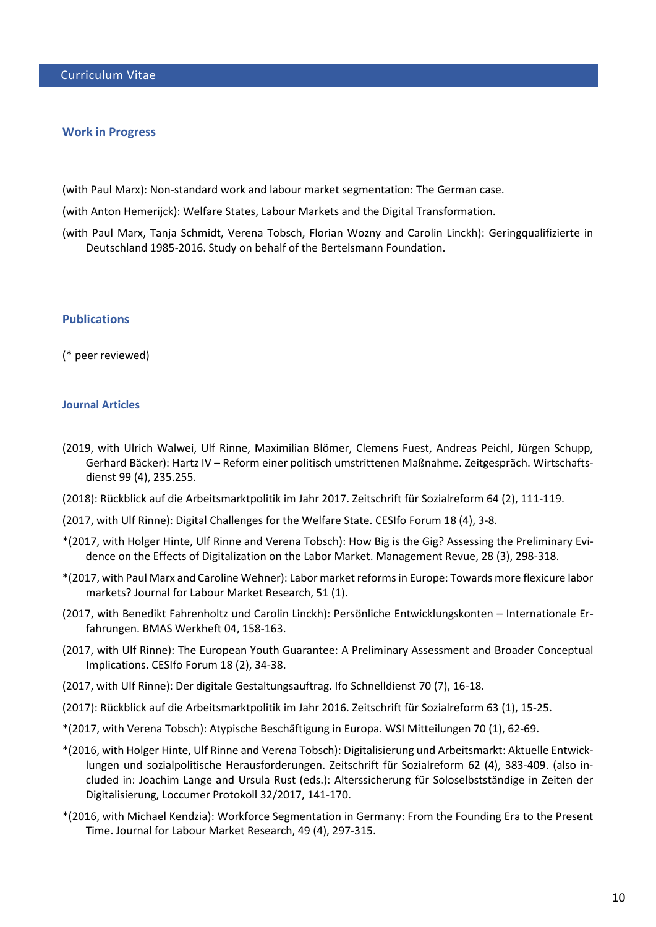#### **Work in Progress**

(with Paul Marx): Non-standard work and labour market segmentation: The German case.

(with Anton Hemerijck): Welfare States, Labour Markets and the Digital Transformation.

(with Paul Marx, Tanja Schmidt, Verena Tobsch, Florian Wozny and Carolin Linckh): Geringqualifizierte in Deutschland 1985-2016. Study on behalf of the Bertelsmann Foundation.

## **Publications**

(\* peer reviewed)

### **Journal Articles**

- (2019, with [Ulrich Walwei,](https://archiv.wirtschaftsdienst.eu/autor/ulrich-walwei/) [Ulf Rinne,](https://archiv.wirtschaftsdienst.eu/autor/ulf-rinne/) [Maximilian Blömer,](https://archiv.wirtschaftsdienst.eu/autor/maximilian-bloemer/) [Clemens Fuest,](https://archiv.wirtschaftsdienst.eu/autor/clemens-fuest/) [Andreas Peichl,](https://archiv.wirtschaftsdienst.eu/autor/andreas-peichl/) [Jürgen Schupp,](https://archiv.wirtschaftsdienst.eu/autor/juergen-schupp/) [Gerhard Bäcker\)](https://archiv.wirtschaftsdienst.eu/autor/gerhard-baecker/): Hartz IV – Reform einer politisch umstrittenen Maßnahme. Zeitgespräch. Wirtschaftsdienst 99 (4), 235.255.
- (2018): Rückblick auf die Arbeitsmarktpolitik im Jahr 2017. Zeitschrift für Sozialreform 64 (2), 111-119.
- (2017, with Ulf Rinne): Digital Challenges for the Welfare State. CESIfo Forum 18 (4), 3-8.
- \*(2017, with Holger Hinte, Ulf Rinne and Verena Tobsch): [How Big is the Gig? Assessing the Preliminary Evi](http://www.iza.org/en/webcontent/publications/policypapers/viewAbstract?policypaper_id=117)[dence on the Effects of Digitalization on the Labor Market.](http://www.iza.org/en/webcontent/publications/policypapers/viewAbstract?policypaper_id=117) Management Revue, 28 (3), 298-318.
- \*(2017, with Paul Marx and Caroline Wehner): Labor market reforms in Europe: Towards more flexicure labor markets? Journal for Labour Market Research, 51 (1).
- (2017, with Benedikt Fahrenholtz und Carolin Linckh): Persönliche Entwicklungskonten Internationale Erfahrungen. BMAS Werkheft 04, 158-163.
- (2017, with Ulf Rinne): [The European Youth Guarantee: A Preliminary Assessment and Broader Conceptual](http://legacy.iza.org/en/webcontent/publications/policypapers/viewAbstract?policypaper_id=128)  [Implications.](http://legacy.iza.org/en/webcontent/publications/policypapers/viewAbstract?policypaper_id=128) CESIfo Forum 18 (2), 34-38.
- (2017, with Ulf Rinne): Der digitale Gestaltungsauftrag. Ifo Schnelldienst 70 (7), 16-18.
- (2017): Rückblick auf die Arbeitsmarktpolitik im Jahr 2016. Zeitschrift für Sozialreform 63 (1), 15-25.
- \*(2017, with Verena Tobsch): Atypische Beschäftigung in Europa. WSI Mitteilungen 70 (1), 62-69.
- \*(2016, with Holger Hinte, Ulf Rinne and Verena Tobsch): Digitalisierung und Arbeitsmarkt: Aktuelle Entwicklungen und sozialpolitische Herausforderungen. Zeitschrift für Sozialreform 62 (4), 383-409. (also included in: Joachim Lange and Ursula Rust (eds.): Alterssicherung für Soloselbstständige in Zeiten der Digitalisierung, Loccumer Protokoll 32/2017, 141-170.
- \*(2016, with Michael Kendzia): Workforce Segmentation in Germany: From the Founding Era to the Present Time. Journal for Labour Market Research, 49 (4), 297-315.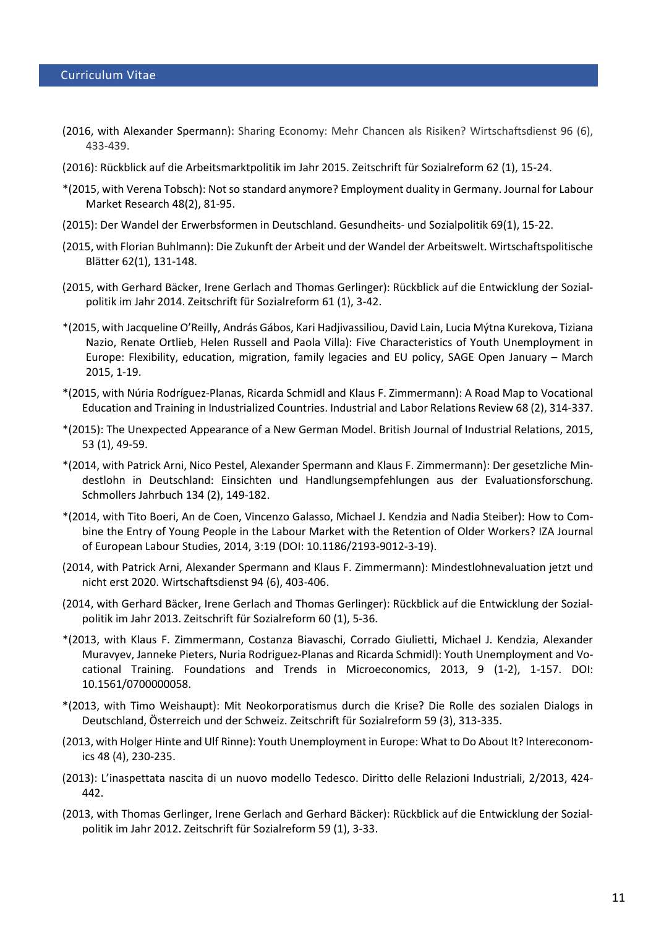- (2016, with Alexander Spermann): Sharing Economy: Mehr Chancen als Risiken? Wirtschaftsdienst 96 (6), 433-439.
- (2016): Rückblick auf die Arbeitsmarktpolitik im Jahr 2015. Zeitschrift für Sozialreform 62 (1), 15-24.
- \*(2015, with Verena Tobsch): Not so standard anymore? Employment duality in Germany. Journal for Labour Market Research 48(2), 81-95.
- (2015): Der Wandel der Erwerbsformen in Deutschland. Gesundheits- und Sozialpolitik 69(1), 15-22.
- (2015, with Florian Buhlmann): Die Zukunft der Arbeit und der Wandel der Arbeitswelt. Wirtschaftspolitische Blätter 62(1), 131-148.
- (2015, with Gerhard Bäcker, Irene Gerlach and Thomas Gerlinger): Rückblick auf die Entwicklung der Sozialpolitik im Jahr 2014. Zeitschrift für Sozialreform 61 (1), 3-42.
- \*(2015, with Jacqueline O'Reilly, András Gábos, [Kari Hadjivassiliou,](http://www.researchgate.net/researcher/22078781_Kari_Hadjivassiliou) [David Lain,](http://www.researchgate.net/researcher/2044686060_David_Lain) [Lucia Mýtna Kurekova,](http://www.researchgate.net/researcher/2068638177_Lucia_Mytna_Kurakova) [Tiziana](http://www.researchgate.net/researcher/2068477506_Tiziana_Nazio)  [Nazio,](http://www.researchgate.net/researcher/2068477506_Tiziana_Nazio) [Renate Ortlieb,](http://www.researchgate.net/researcher/2068632183_Renate_Ortlieb) [Helen Russell](http://www.researchgate.net/researcher/2068695925_Helen_Russell) and [Paola Villa\)](http://www.researchgate.net/researcher/2068624759_Paola_Villa): [Five Characteristics of Youth Unemployment in](http://www.researchgate.net/publication/273202296_Five_Characteristics_of_Youth_Unemployment_in_Europe_Flexibility_education_migration_family_legacies_and_EU_policy)  [Europe: Flexibility, education, migration, family legacies and EU policy,](http://www.researchgate.net/publication/273202296_Five_Characteristics_of_Youth_Unemployment_in_Europe_Flexibility_education_migration_family_legacies_and_EU_policy) SAGE Open January – March 2015, 1-19.
- \*(2015, with Núria Rodríguez-Planas, Ricarda Schmidl and Klaus F. Zimmermann): A Road Map to Vocational Education and Training in Industrialized Countries. Industrial and Labor Relations Review 68 (2), 314-337.
- \*(2015): The Unexpected Appearance of a New German Model. British Journal of Industrial Relations, 2015, 53 (1), 49-59.
- \*(2014, with Patrick Arni, Nico Pestel, Alexander Spermann and Klaus F. Zimmermann): Der gesetzliche Mindestlohn in Deutschland: Einsichten und Handlungsempfehlungen aus der Evaluationsforschung. Schmollers Jahrbuch 134 (2), 149-182.
- \*(2014, with Tito Boeri, An de Coen, Vincenzo Galasso, Michael J. Kendzia and Nadia Steiber): How to Combine the Entry of Young People in the Labour Market with the Retention of Older Workers? IZA Journal of European Labour Studies, 2014, 3:19 (DOI: 10.1186/2193-9012-3-19).
- (2014, with Patrick Arni, Alexander Spermann and Klaus F. Zimmermann): Mindestlohnevaluation jetzt und nicht erst 2020. Wirtschaftsdienst 94 (6), 403-406.
- (2014, with Gerhard Bäcker, Irene Gerlach and Thomas Gerlinger): [Rückblick auf die Entwicklung der Sozial](http://www.z-sozialreform.de/redirect/?oid=com.arsdigita.cms.contenttypes.ArticleInJournal-id-1411006)[politik im Jahr 2013.](http://www.z-sozialreform.de/redirect/?oid=com.arsdigita.cms.contenttypes.ArticleInJournal-id-1411006) Zeitschrift für Sozialreform 60 (1), 5-36.
- \*(2013, with Klaus F. Zimmermann, Costanza Biavaschi, Corrado Giulietti, Michael J. Kendzia, Alexander Muravyev, Janneke Pieters, Nuria Rodriguez-Planas and Ricarda Schmidl): Youth Unemployment and Vocational Training. Foundations and Trends in Microeconomics, 2013, 9 (1-2), 1-157. DOI: 10.1561/0700000058.
- \*(2013, with Timo Weishaupt): Mit Neokorporatismus durch die Krise? Die Rolle des sozialen Dialogs in Deutschland, Österreich und der Schweiz. Zeitschrift für Sozialreform 59 (3), 313-335.
- (2013, with Holger Hinte and Ulf Rinne): Youth Unemployment in Europe: What to Do About It? Intereconomics 48 (4), 230-235.
- (2013): L'inaspettata nascita di un nuovo modello Tedesco. Diritto delle Relazioni Industriali, 2/2013, 424- 442.
- (2013, with Thomas Gerlinger, Irene Gerlach and Gerhard Bäcker): Rückblick auf die Entwicklung der Sozialpolitik im Jahr 2012. Zeitschrift für Sozialreform 59 (1), 3-33.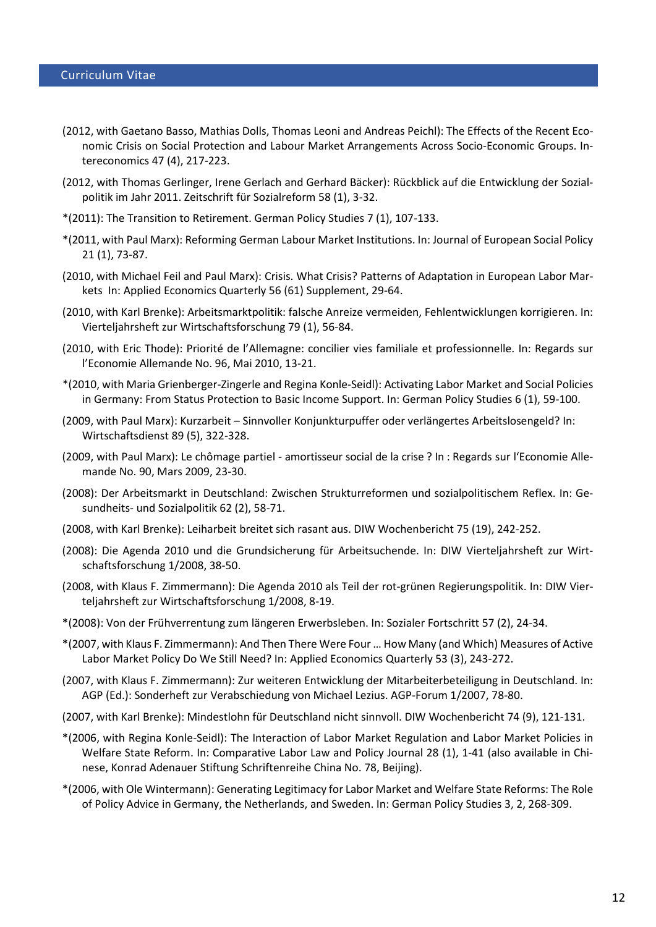- (2012, with Gaetano Basso, Mathias Dolls, Thomas Leoni and Andreas Peichl): The Effects of the Recent Economic Crisis on Social Protection and Labour Market Arrangements Across Socio-Economic Groups. Intereconomics 47 (4), 217-223.
- (2012, with Thomas Gerlinger, Irene Gerlach and Gerhard Bäcker): Rückblick auf die Entwicklung der Sozialpolitik im Jahr 2011. Zeitschrift für Sozialreform 58 (1), 3-32.
- \*(2011): The Transition to Retirement. German Policy Studies 7 (1), 107-133.
- \*(2011, with Paul Marx): Reforming German Labour Market Institutions. In: Journal of European Social Policy 21 (1), 73-87.
- (2010, with Michael Feil and Paul Marx): Crisis. What Crisis? Patterns of Adaptation in European Labor Markets In: Applied Economics Quarterly 56 (61) Supplement, 29-64.
- (2010, with Karl Brenke): Arbeitsmarktpolitik: falsche Anreize vermeiden, Fehlentwicklungen korrigieren. In: Vierteljahrsheft zur Wirtschaftsforschung 79 (1), 56-84.
- (2010, with Eric Thode): [Priorité de l'Allemagne: concilier vies familiale et professionnelle.](http://rea.revues.org/index4079.html) In: Regards sur l'Economie Allemande No. 96, Mai 2010, 13-21.
- \*(2010, with Maria Grienberger-Zingerle and Regina Konle-Seidl): Activating Labor Market and Social Policies in Germany: From Status Protection to Basic Income Support. In: German Policy Studies 6 (1), 59-100.
- (2009, with Paul Marx): Kurzarbeit Sinnvoller Konjunkturpuffer oder verlängertes Arbeitslosengeld? In: Wirtschaftsdienst 89 (5), 322-328.
- (2009, with Paul Marx): Le chômage partiel amortisseur social de la crise ? In : Regards sur l'Economie Allemande No. 90, Mars 2009, 23-30.
- (2008): Der Arbeitsmarkt in Deutschland: Zwischen Strukturreformen und sozialpolitischem Reflex. In: Gesundheits- und Sozialpolitik 62 (2), 58-71.
- (2008, with Karl Brenke): Leiharbeit breitet sich rasant aus. DIW Wochenbericht 75 (19), 242-252.
- (2008): Die Agenda 2010 und die Grundsicherung für Arbeitsuchende. In: DIW Vierteljahrsheft zur Wirtschaftsforschung 1/2008, 38-50.
- (2008, with Klaus F. Zimmermann): Die Agenda 2010 als Teil der rot-grünen Regierungspolitik. In: DIW Vierteljahrsheft zur Wirtschaftsforschung 1/2008, 8-19.
- \*(2008): Von der Frühverrentung zum längeren Erwerbsleben. In: Sozialer Fortschritt 57 (2), 24-34.
- \*(2007, with Klaus F. Zimmermann): And Then There Were Four … How Many (and Which) Measures of Active Labor Market Policy Do We Still Need? In: Applied Economics Quarterly 53 (3), 243-272.
- (2007, with Klaus F. Zimmermann): Zur weiteren Entwicklung der Mitarbeiterbeteiligung in Deutschland. In: AGP (Ed.): Sonderheft zur Verabschiedung von Michael Lezius. AGP-Forum 1/2007, 78-80.
- (2007, with Karl Brenke): Mindestlohn für Deutschland nicht sinnvoll. DIW Wochenbericht 74 (9), 121-131.
- \*(2006, with Regina Konle-Seidl): The Interaction of Labor Market Regulation and Labor Market Policies in Welfare State Reform. In: Comparative Labor Law and Policy Journal 28 (1), 1-41 (also available in Chinese, Konrad Adenauer Stiftung Schriftenreihe China No. 78, Beijing).
- \*(2006, with Ole Wintermann): Generating Legitimacy for Labor Market and Welfare State Reforms: The Role of Policy Advice in Germany, the Netherlands, and Sweden. In: German Policy Studies 3, 2, 268-309.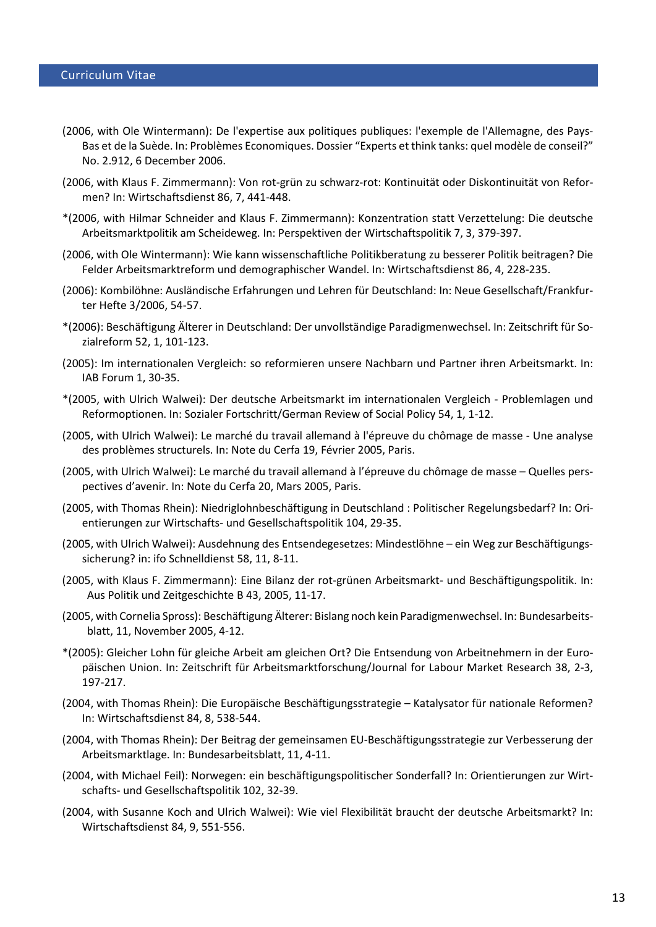- (2006, with Ole Wintermann): De l'expertise aux politiques publiques: l'exemple de l'Allemagne, des Pays-Bas et de la Suède. In: Problèmes Economiques. Dossier "Experts et think tanks: quel modèle de conseil?" No. 2.912, 6 December 2006.
- (2006, with Klaus F. Zimmermann): Von rot-grün zu schwarz-rot: Kontinuität oder Diskontinuität von Reformen? In: Wirtschaftsdienst 86, 7, 441-448.
- \*(2006, with Hilmar Schneider and Klaus F. Zimmermann): Konzentration statt Verzettelung: Die deutsche Arbeitsmarktpolitik am Scheideweg. In: Perspektiven der Wirtschaftspolitik 7, 3, 379-397.
- (2006, with Ole Wintermann): Wie kann wissenschaftliche Politikberatung zu besserer Politik beitragen? Die Felder Arbeitsmarktreform und demographischer Wandel. In: Wirtschaftsdienst 86, 4, 228-235.
- (2006): Kombilöhne: Ausländische Erfahrungen und Lehren für Deutschland: In: Neue Gesellschaft/Frankfurter Hefte 3/2006, 54-57.
- \*(2006): Beschäftigung Älterer in Deutschland: Der unvollständige Paradigmenwechsel. In: Zeitschrift für Sozialreform 52, 1, 101-123.
- (2005): [Im internationalen Vergleich: so reformieren unsere Nachbarn und Partner ihren Arbeitsmarkt.](http://www.iab.de/asp/internet/dbdokShow.asp?pkyDoku=k050104604) In: IAB Forum 1, 30-35.
- \*(2005, with Ulrich Walwei): [Der deutsche Arbeitsmarkt im internationalen Vergleich -](http://www.iab.de/asp/internet/dbdokShow.asp?pkyDoku=k040823w03) Problemlagen und [Reformoptionen.](http://www.iab.de/asp/internet/dbdokShow.asp?pkyDoku=k040823w03) In: Sozialer Fortschritt/German Review of Social Policy 54, 1, 1-12.
- (2005, with Ulrich Walwei): [Le marché du travail allemand à l'épreuve du chômage de masse -](http://www.ifri.org/frontDispatcher/ifri/recherche/comit__d__tude_des_relations_franco_allemandes_1031830302991/les_notes_du_cerfa_1040045354392##) Une analyse [des problèmes structurels.](http://www.ifri.org/frontDispatcher/ifri/recherche/comit__d__tude_des_relations_franco_allemandes_1031830302991/les_notes_du_cerfa_1040045354392##) In: Note du Cerfa 19, Février 2005, Paris.
- (2005, with Ulrich Walwei): Le marché du travail allemand à l'épreuve du chômage de masse Quelles perspectives d'avenir. In: Note du Cerfa 20, Mars 2005, Paris.
- (2005, with Thomas Rhein): Niedriglohnbeschäftigung in Deutschland : Politischer Regelungsbedarf? In: Orientierungen zur Wirtschafts- und Gesellschaftspolitik 104, 29-35.
- (2005, with Ulrich Walwei): Ausdehnung des Entsendegesetzes: Mindestlöhne ein Weg zur Beschäftigungssicherung? in: ifo Schnelldienst 58, 11, 8-11.
- (2005, with Klaus F. Zimmermann): Eine Bilanz der rot-grünen Arbeitsmarkt- und Beschäftigungspolitik. In: Aus Politik und Zeitgeschichte B 43, 2005, 11-17.
- (2005, with Cornelia Spross): Beschäftigung Älterer: Bislang noch kein Paradigmenwechsel. In: Bundesarbeitsblatt, 11, November 2005, 4-12.
- \*(2005): Gleicher Lohn für gleiche Arbeit am gleichen Ort? Die Entsendung von Arbeitnehmern in der Europäischen Union. In: Zeitschrift für Arbeitsmarktforschung/Journal for Labour Market Research 38, 2-3, 197-217.
- (2004, with Thomas Rhein): Die Europäische Beschäftigungsstrategie Katalysator für nationale Reformen? In: Wirtschaftsdienst 84, 8, 538-544.
- (2004, with Thomas Rhein): [Der Beitrag der gemeinsamen EU-Beschäftigungsstrategie zur Verbesserung der](http://www.iab.de/asp/internet/dbdokShow.asp?pkyDoku=k041117f05)  [Arbeitsmarktlage.](http://www.iab.de/asp/internet/dbdokShow.asp?pkyDoku=k041117f05) In: Bundesarbeitsblatt, 11, 4-11.
- (2004, with Michael Feil): [Norwegen: ein beschäftigungspolitischer Sonderfall?](http://www.iab.de/asp/internet/dbdokShow.asp?pkyDoku=k041203f01) In: Orientierungen zur Wirtschafts- und Gesellschaftspolitik 102, 32-39.
- (2004, with Susanne Koch and Ulrich Walwei): [Wie viel Flexibilität braucht der deutsche Arbeitsmarkt?](http://www.iab.de/asp/internet/dbdokShow.asp?pkyDoku=k040928a04) In: Wirtschaftsdienst 84, 9, 551-556.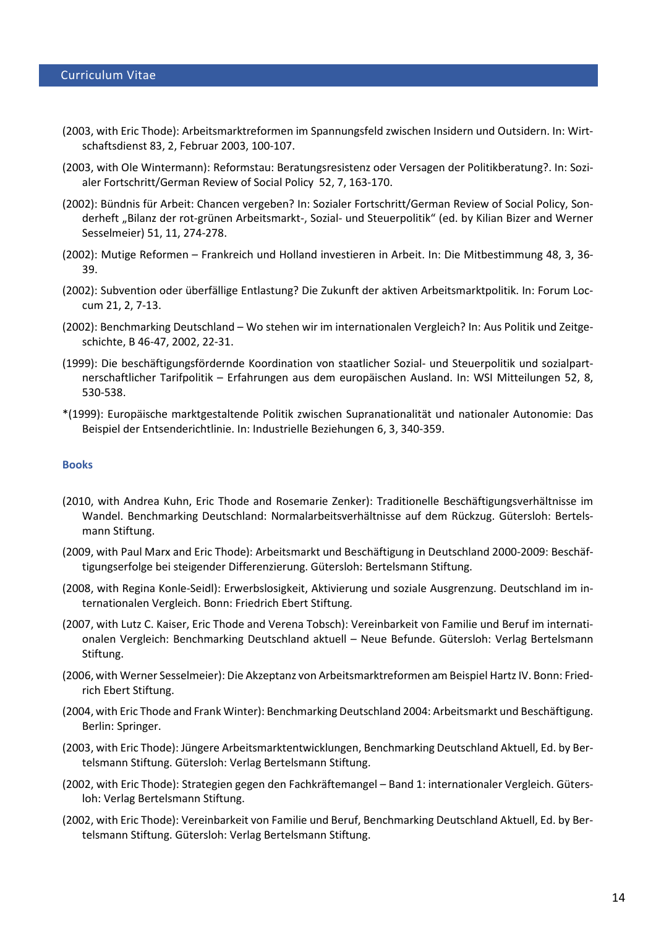- (2003, with Eric Thode): Arbeitsmarktreformen im Spannungsfeld zwischen Insidern und Outsidern. In: Wirtschaftsdienst 83, 2, Februar 2003, 100-107.
- (2003, with Ole Wintermann): Reformstau: Beratungsresistenz oder Versagen der Politikberatung?. In: Sozialer Fortschritt/German Review of Social Policy 52, 7, 163-170.
- (2002): Bündnis für Arbeit: Chancen vergeben? In: Sozialer Fortschritt/German Review of Social Policy, Sonderheft "Bilanz der rot-grünen Arbeitsmarkt-, Sozial- und Steuerpolitik" (ed. by Kilian Bizer and Werner Sesselmeier) 51, 11, 274-278.
- (2002): Mutige Reformen Frankreich und Holland investieren in Arbeit. In: Die Mitbestimmung 48, 3, 36- 39.
- (2002): Subvention oder überfällige Entlastung? Die Zukunft der aktiven Arbeitsmarktpolitik. In: Forum Loccum 21, 2, 7-13.
- (2002): Benchmarking Deutschland Wo stehen wir im internationalen Vergleich? In: Aus Politik und Zeitgeschichte, B 46-47, 2002, 22-31.
- (1999): Die beschäftigungsfördernde Koordination von staatlicher Sozial- und Steuerpolitik und sozialpartnerschaftlicher Tarifpolitik – Erfahrungen aus dem europäischen Ausland. In: WSI Mitteilungen 52, 8, 530-538.
- \*(1999): Europäische marktgestaltende Politik zwischen Supranationalität und nationaler Autonomie: Das Beispiel der Entsenderichtlinie. In: Industrielle Beziehungen 6, 3, 340-359.

## **Books**

- (2010, with Andrea Kuhn, Eric Thode and Rosemarie Zenker): Traditionelle Beschäftigungsverhältnisse im Wandel. Benchmarking Deutschland: Normalarbeitsverhältnisse auf dem Rückzug. Gütersloh: Bertelsmann Stiftung.
- (2009, with Paul Marx and Eric Thode[\): Arbeitsmarkt und Beschäftigung in Deutschland 2000-2009: Beschäf](http://www.iza.org/en/webcontent/publications/reports/report_pdfs/report_pdfs/iza_report_22.pdf)[tigungserfolge bei steigender Differenzierung.](http://www.iza.org/en/webcontent/publications/reports/report_pdfs/report_pdfs/iza_report_22.pdf) Gütersloh: Bertelsmann Stiftung.
- (2008, with Regina Konle-Seidl): Erwerbslosigkeit, Aktivierung und soziale Ausgrenzung. Deutschland im internationalen Vergleich. Bonn: Friedrich Ebert Stiftung.
- (2007, with Lutz C. Kaiser, Eric Thode and Verena Tobsch): Vereinbarkeit von Familie und Beruf im internationalen Vergleich: Benchmarking Deutschland aktuell – Neue Befunde. Gütersloh: Verlag Bertelsmann Stiftung.
- (2006, with Werner Sesselmeier): Die Akzeptanz von Arbeitsmarktreformen am Beispiel Hartz IV. Bonn: Friedrich Ebert Stiftung.
- (2004, with Eric Thode and Frank Winter): Benchmarking Deutschland 2004: Arbeitsmarkt und Beschäftigung. Berlin: Springer.
- (2003, with Eric Thode): Jüngere Arbeitsmarktentwicklungen, Benchmarking Deutschland Aktuell, Ed. by Bertelsmann Stiftung. Gütersloh: Verlag Bertelsmann Stiftung.
- (2002, with Eric Thode): Strategien gegen den Fachkräftemangel Band 1: internationaler Vergleich. Gütersloh: Verlag Bertelsmann Stiftung.
- (2002, with Eric Thode): Vereinbarkeit von Familie und Beruf, Benchmarking Deutschland Aktuell, Ed. by Bertelsmann Stiftung. Gütersloh: Verlag Bertelsmann Stiftung.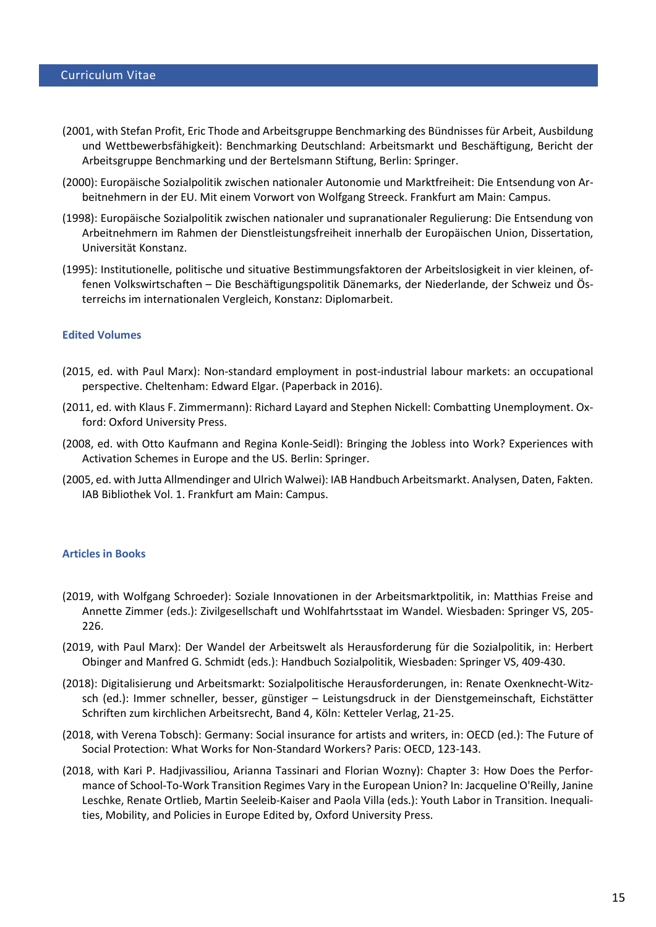- (2001, with Stefan Profit, Eric Thode and Arbeitsgruppe Benchmarking des Bündnisses für Arbeit, Ausbildung und Wettbewerbsfähigkeit): Benchmarking Deutschland: Arbeitsmarkt und Beschäftigung, Bericht der Arbeitsgruppe Benchmarking und der Bertelsmann Stiftung, Berlin: Springer.
- (2000): Europäische Sozialpolitik zwischen nationaler Autonomie und Marktfreiheit: Die Entsendung von Arbeitnehmern in der EU. Mit einem Vorwort von Wolfgang Streeck. Frankfurt am Main: Campus.
- (1998): Europäische Sozialpolitik zwischen nationaler und supranationaler Regulierung: Die Entsendung von Arbeitnehmern im Rahmen der Dienstleistungsfreiheit innerhalb der Europäischen Union, Dissertation, Universität Konstanz.
- (1995): Institutionelle, politische und situative Bestimmungsfaktoren der Arbeitslosigkeit in vier kleinen, offenen Volkswirtschaften – Die Beschäftigungspolitik Dänemarks, der Niederlande, der Schweiz und Österreichs im internationalen Vergleich, Konstanz: Diplomarbeit.

#### **Edited Volumes**

- (2015, ed. with Paul Marx): Non-standard employment in post-industrial labour markets: an occupational perspective. Cheltenham: Edward Elgar. (Paperback in 2016).
- (2011, ed. with Klaus F. Zimmermann): Richard Layard and Stephen Nickell: Combatting Unemployment. Oxford: Oxford University Press.
- (2008, ed. with Otto Kaufmann and Regina Konle-Seidl): Bringing the Jobless into Work? Experiences with Activation Schemes in Europe and the US. Berlin: Springer.
- (2005, ed. with Jutta Allmendinger and Ulrich Walwei): IAB Handbuch Arbeitsmarkt. Analysen, Daten, Fakten. IAB Bibliothek Vol. 1. Frankfurt am Main: Campus.

#### **Articles in Books**

- (2019, with Wolfgang Schroeder): Soziale Innovationen in der Arbeitsmarktpolitik, in: Matthias Freise and Annette Zimmer (eds.): Zivilgesellschaft und Wohlfahrtsstaat im Wandel. Wiesbaden: Springer VS, 205- 226.
- (2019, with Paul Marx): Der Wandel der Arbeitswelt als Herausforderung für die Sozialpolitik, in: Herbert Obinger and Manfred G. Schmidt (eds.): Handbuch Sozialpolitik, Wiesbaden: Springer VS, 409-430.
- (2018): Digitalisierung und Arbeitsmarkt: Sozialpolitische Herausforderungen, in: Renate Oxenknecht-Witzsch (ed.): Immer schneller, besser, günstiger – Leistungsdruck in der Dienstgemeinschaft, Eichstätter Schriften zum kirchlichen Arbeitsrecht, Band 4, Köln: Ketteler Verlag, 21-25.
- (2018, with Verena Tobsch): Germany: Social insurance for artists and writers, in: OECD (ed.): The Future of Social Protection: What Works for Non-Standard Workers? Paris: OECD, 123-143.
- (2018, with Kari P. Hadjivassiliou, Arianna Tassinari and Florian Wozny): Chapter 3: How Does the Performance of School-To-Work Transition Regimes Vary in the European Union? In: Jacqueline O'Reilly, Janine Leschke, Renate Ortlieb, Martin Seeleib-Kaiser and Paola Villa (eds.): Youth Labor in Transition. Inequalities, Mobility, and Policies in Europe Edited by, Oxford University Press.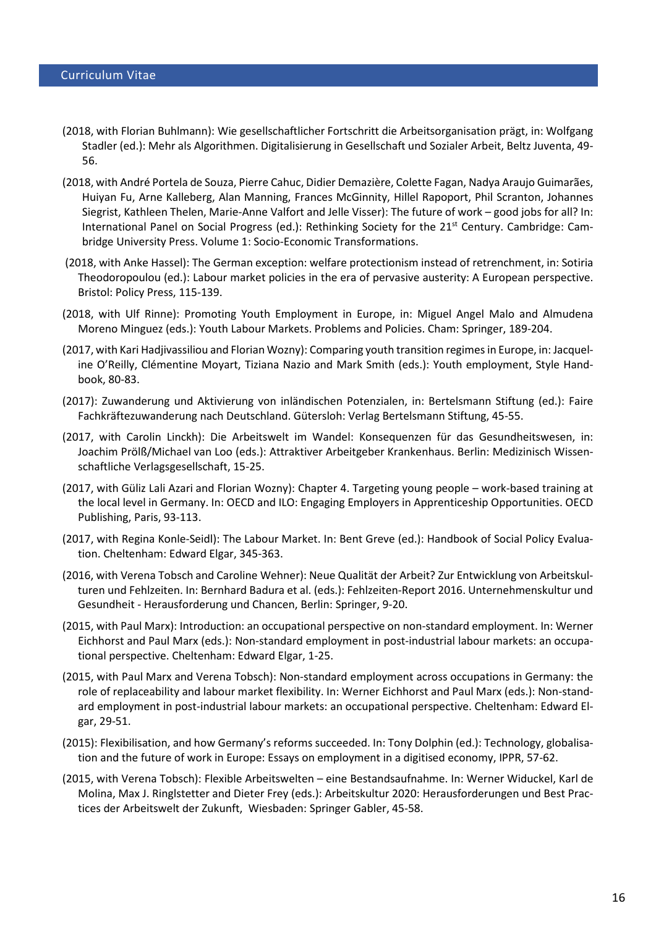- (2018, with Florian Buhlmann): Wie gesellschaftlicher Fortschritt die Arbeitsorganisation prägt, in: Wolfgang Stadler (ed.): Mehr als Algorithmen. Digitalisierung in Gesellschaft und Sozialer Arbeit, Beltz Juventa, 49- 56.
- (2018, with André Portela de Souza, Pierre Cahuc, Didier Demazière, Colette Fagan, Nadya Araujo Guimarães, Huiyan Fu, Arne Kalleberg, Alan Manning, Frances McGinnity, Hillel Rapoport, Phil Scranton, Johannes Siegrist, Kathleen Thelen, Marie-Anne Valfort and Jelle Visser): The future of work – good jobs for all? In: International Panel on Social Progress (ed.): Rethinking Society for the 21st Century. Cambridge: Cambridge University Press. Volume 1: Socio-Economic Transformations.
- (2018, with Anke Hassel): The German exception: welfare protectionism instead of retrenchment, in: Sotiria Theodoropoulou (ed.): Labour market policies in the era of pervasive austerity: A European perspective. Bristol: Policy Press, 115-139.
- (2018, with Ulf Rinne): Promoting Youth Employment in Europe, in: Miguel Angel Malo and Almudena Moreno Minguez (eds.): Youth Labour Markets. Problems and Policies. Cham: Springer, 189-204.
- (2017, with Kari Hadjivassiliou and Florian Wozny): Comparing youth transition regimes in Europe, in: Jacqueline O'Reilly, Clémentine Moyart, Tiziana Nazio and Mark Smith (eds.): Youth employment, Style Handbook, 80-83.
- (2017): Zuwanderung und Aktivierung von inländischen Potenzialen, in: Bertelsmann Stiftung (ed.): Faire Fachkräftezuwanderung nach Deutschland. Gütersloh: Verlag Bertelsmann Stiftung, 45-55.
- (2017, with Carolin Linckh): Die Arbeitswelt im Wandel: Konsequenzen für das Gesundheitswesen, in: Joachim Prölß/Michael van Loo (eds.): Attraktiver Arbeitgeber Krankenhaus. Berlin: Medizinisch Wissenschaftliche Verlagsgesellschaft, 15-25.
- (2017, with Güliz Lali Azari and Florian Wozny): Chapter 4. Targeting young people work-based training at the local level in Germany. In: OECD and ILO: Engaging Employers in Apprenticeship Opportunities. OECD Publishing, Paris, 93-113.
- (2017, with Regina Konle-Seidl): The Labour Market. In: Bent Greve (ed.): Handbook of Social Policy Evaluation. Cheltenham: Edward Elgar, 345-363.
- (2016, with Verena Tobsch and Caroline Wehner): Neue Qualität der Arbeit? Zur Entwicklung von Arbeitskulturen und Fehlzeiten. In: Bernhard Badura et al. (eds.): Fehlzeiten-Report 2016. Unternehmenskultur und Gesundheit - Herausforderung und Chancen, Berlin: Springer, 9-20.
- (2015, with Paul Marx): Introduction: an occupational perspective on non-standard employment. In: Werner Eichhorst and Paul Marx (eds.): Non-standard employment in post-industrial labour markets: an occupational perspective. Cheltenham: Edward Elgar, 1-25.
- (2015, with Paul Marx and Verena Tobsch): Non-standard employment across occupations in Germany: the role of replaceability and labour market flexibility. In: Werner Eichhorst and Paul Marx (eds.): Non-standard employment in post-industrial labour markets: an occupational perspective. Cheltenham: Edward Elgar, 29-51.
- (2015): Flexibilisation, and how Germany's reforms succeeded. In: Tony Dolphin (ed.): Technology, globalisation and the future of work in Europe: Essays on employment in a digitised economy, IPPR, 57-62.
- (2015, with Verena Tobsch): Flexible Arbeitswelten eine Bestandsaufnahme. In: Werner Widuckel, Karl de Molina, Max J. Ringlstetter and Dieter Frey (eds.): Arbeitskultur 2020: Herausforderungen und Best Practices der Arbeitswelt der Zukunft, Wiesbaden: Springer Gabler, 45-58.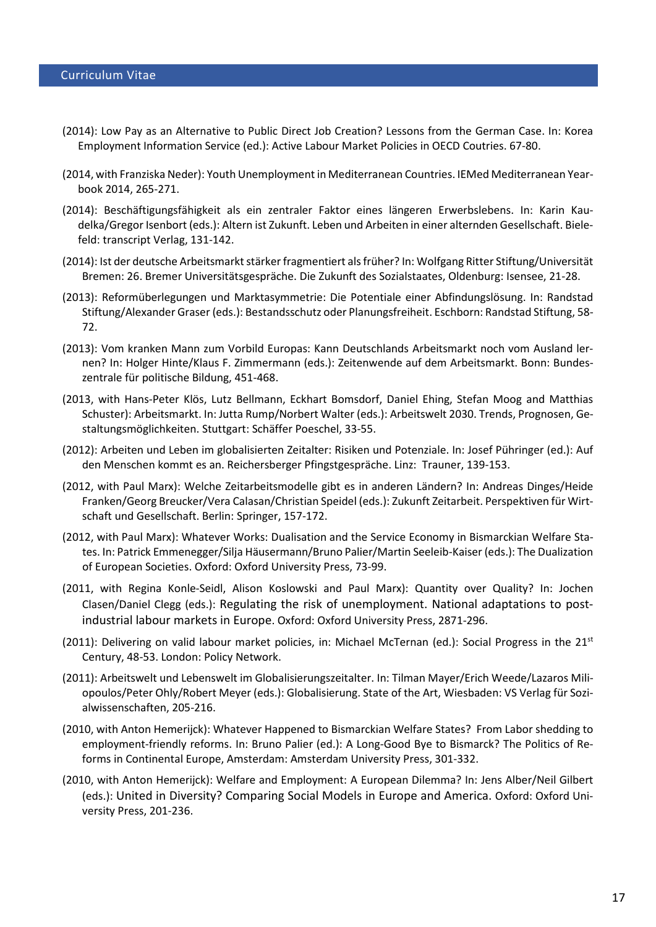- (2014): Low Pay as an Alternative to Public Direct Job Creation? Lessons from the German Case. In: Korea Employment Information Service (ed.): Active Labour Market Policies in OECD Coutries. 67-80.
- (2014, with Franziska Neder): [Youth Unemployment in Mediterranean Countries.](http://www.iza.org/en/webcontent/publications/policypapers/viewAbstract?policypaper_id=80) IEMed Mediterranean Yearbook 2014, 265-271.
- (2014): Beschäftigungsfähigkeit als ein zentraler Faktor eines längeren Erwerbslebens. In: Karin Kaudelka/Gregor Isenbort (eds.): Altern ist Zukunft. Leben und Arbeiten in einer alternden Gesellschaft. Bielefeld: transcript Verlag, 131-142.
- (2014): Ist der deutsche Arbeitsmarkt stärker fragmentiert als früher? In: Wolfgang Ritter Stiftung/Universität Bremen: 26. Bremer Universitätsgespräche. Die Zukunft des Sozialstaates, Oldenburg: Isensee, 21-28.
- (2013): Reformüberlegungen und Marktasymmetrie: Die Potentiale einer Abfindungslösung. In: Randstad Stiftung/Alexander Graser (eds.): Bestandsschutz oder Planungsfreiheit. Eschborn: Randstad Stiftung, 58- 72.
- (2013): Vom kranken Mann zum Vorbild Europas: Kann Deutschlands Arbeitsmarkt noch vom Ausland lernen? In: Holger Hinte/Klaus F. Zimmermann (eds.): Zeitenwende auf dem Arbeitsmarkt. Bonn: Bundeszentrale für politische Bildung, 451-468.
- (2013, with Hans-Peter Klös, Lutz Bellmann, Eckhart Bomsdorf, Daniel Ehing, Stefan Moog and Matthias Schuster): Arbeitsmarkt. In: Jutta Rump/Norbert Walter (eds.): Arbeitswelt 2030. Trends, Prognosen, Gestaltungsmöglichkeiten. Stuttgart: Schäffer Poeschel, 33-55.
- (2012): Arbeiten und Leben im globalisierten Zeitalter: Risiken und Potenziale. In: Josef Pühringer (ed.): Auf den Menschen kommt es an. Reichersberger Pfingstgespräche. Linz: Trauner, 139-153.
- (2012, with Paul Marx): Welche Zeitarbeitsmodelle gibt es in anderen Ländern? In: Andreas Dinges/Heide Franken/Georg Breucker/Vera Calasan/Christian Speidel (eds.): Zukunft Zeitarbeit. Perspektiven für Wirtschaft und Gesellschaft. Berlin: Springer, 157-172.
- (2012, with Paul Marx): Whatever Works: Dualisation and the Service Economy in Bismarckian Welfare States. In: Patrick Emmenegger/Silja Häusermann/Bruno Palier/Martin Seeleib-Kaiser (eds.): The Dualization of European Societies. Oxford: Oxford University Press, 73-99.
- (2011, with Regina Konle-Seidl, Alison Koslowski and Paul Marx): Quantity over Quality? In: Jochen Clasen/Daniel Clegg (eds.): Regulating the risk of unemployment. National adaptations to postindustrial labour markets in Europe. Oxford: Oxford University Press, 2871-296.
- (2011): Delivering on valid labour market policies, in: Michael McTernan (ed.): Social Progress in the 21<sup>st</sup> Century, 48-53. London: Policy Network.
- (2011): Arbeitswelt und Lebenswelt im Globalisierungszeitalter. In: Tilman Mayer/Erich Weede/Lazaros Miliopoulos/Peter Ohly/Robert Meyer (eds.): Globalisierung. State of the Art, Wiesbaden: VS Verlag für Sozialwissenschaften, 205-216.
- (2010, with Anton Hemerijck): Whatever Happened to Bismarckian Welfare States? From Labor shedding to employment-friendly reforms. In: Bruno Palier (ed.): A Long-Good Bye to Bismarck? The Politics of Reforms in Continental Europe, Amsterdam: Amsterdam University Press, 301-332.
- (2010, with Anton Hemerijck): Welfare and Employment: A European Dilemma? In: Jens Alber/Neil Gilbert (eds.): United in Diversity? Comparing Social Models in Europe and America. Oxford: Oxford University Press, 201-236.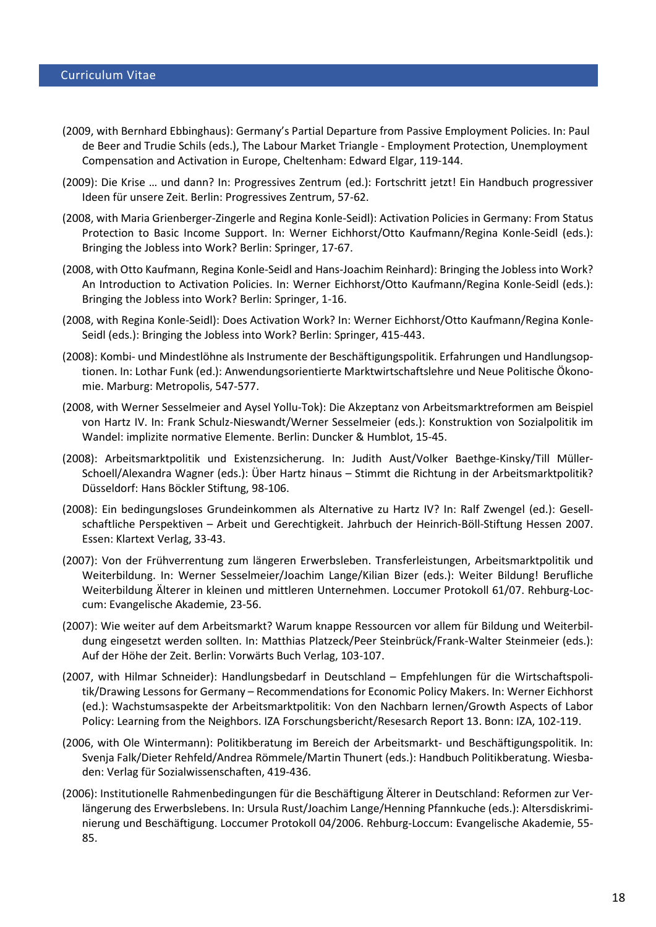- (2009, with Bernhard Ebbinghaus): Germany's Partial Departure from Passive Employment Policies. In: Paul de Beer and Trudie Schils (eds.), The Labour Market Triangle - Employment Protection, Unemployment Compensation and Activation in Europe, Cheltenham: Edward Elgar, 119-144.
- (2009): Die Krise … und dann? In: Progressives Zentrum (ed.): Fortschritt jetzt! Ein Handbuch progressiver Ideen für unsere Zeit. Berlin: Progressives Zentrum, 57-62.
- (2008, with Maria Grienberger-Zingerle and Regina Konle-Seidl): Activation Policies in Germany: From Status Protection to Basic Income Support. In: Werner Eichhorst/Otto Kaufmann/Regina Konle-Seidl (eds.): Bringing the Jobless into Work? Berlin: Springer, 17-67.
- (2008, with Otto Kaufmann, Regina Konle-Seidl and Hans-Joachim Reinhard): Bringing the Jobless into Work? An Introduction to Activation Policies. In: Werner Eichhorst/Otto Kaufmann/Regina Konle-Seidl (eds.): Bringing the Jobless into Work? Berlin: Springer, 1-16.
- (2008, with Regina Konle-Seidl): Does Activation Work? In: Werner Eichhorst/Otto Kaufmann/Regina Konle-Seidl (eds.): Bringing the Jobless into Work? Berlin: Springer, 415-443.
- (2008): Kombi- und Mindestlöhne als Instrumente der Beschäftigungspolitik. Erfahrungen und Handlungsoptionen. In: Lothar Funk (ed.): Anwendungsorientierte Marktwirtschaftslehre und Neue Politische Ökonomie. Marburg: Metropolis, 547-577.
- (2008, with Werner Sesselmeier and Aysel Yollu-Tok): Die Akzeptanz von Arbeitsmarktreformen am Beispiel von Hartz IV. In: Frank Schulz-Nieswandt/Werner Sesselmeier (eds.): Konstruktion von Sozialpolitik im Wandel: implizite normative Elemente. Berlin: Duncker & Humblot, 15-45.
- (2008): Arbeitsmarktpolitik und Existenzsicherung. In: Judith Aust/Volker Baethge-Kinsky/Till Müller-Schoell/Alexandra Wagner (eds.): Über Hartz hinaus – Stimmt die Richtung in der Arbeitsmarktpolitik? Düsseldorf: Hans Böckler Stiftung, 98-106.
- (2008): Ein bedingungsloses Grundeinkommen als Alternative zu Hartz IV? In: Ralf Zwengel (ed.): Gesellschaftliche Perspektiven – Arbeit und Gerechtigkeit. Jahrbuch der Heinrich-Böll-Stiftung Hessen 2007. Essen: Klartext Verlag, 33-43.
- (2007): Von der Frühverrentung zum längeren Erwerbsleben. Transferleistungen, Arbeitsmarktpolitik und Weiterbildung. In: Werner Sesselmeier/Joachim Lange/Kilian Bizer (eds.): Weiter Bildung! Berufliche Weiterbildung Älterer in kleinen und mittleren Unternehmen. Loccumer Protokoll 61/07. Rehburg-Loccum: Evangelische Akademie, 23-56.
- (2007): Wie weiter auf dem Arbeitsmarkt? Warum knappe Ressourcen vor allem für Bildung und Weiterbildung eingesetzt werden sollten. In: Matthias Platzeck/Peer Steinbrück/Frank-Walter Steinmeier (eds.): Auf der Höhe der Zeit. Berlin: Vorwärts Buch Verlag, 103-107.
- (2007, with Hilmar Schneider): Handlungsbedarf in Deutschland Empfehlungen für die Wirtschaftspolitik/Drawing Lessons for Germany – Recommendations for Economic Policy Makers. In: Werner Eichhorst (ed.): Wachstumsaspekte der Arbeitsmarktpolitik: Von den Nachbarn lernen/Growth Aspects of Labor Policy: Learning from the Neighbors. IZA Forschungsbericht/Resesarch Report 13. Bonn: IZA, 102-119.
- (2006, with Ole Wintermann): Politikberatung im Bereich der Arbeitsmarkt- und Beschäftigungspolitik. In: Svenja Falk/Dieter Rehfeld/Andrea Römmele/Martin Thunert (eds.): Handbuch Politikberatung. Wiesbaden: Verlag für Sozialwissenschaften, 419-436.
- (2006): Institutionelle Rahmenbedingungen für die Beschäftigung Älterer in Deutschland: Reformen zur Verlängerung des Erwerbslebens. In: Ursula Rust/Joachim Lange/Henning Pfannkuche (eds.): Altersdiskriminierung und Beschäftigung. Loccumer Protokoll 04/2006. Rehburg-Loccum: Evangelische Akademie, 55- 85.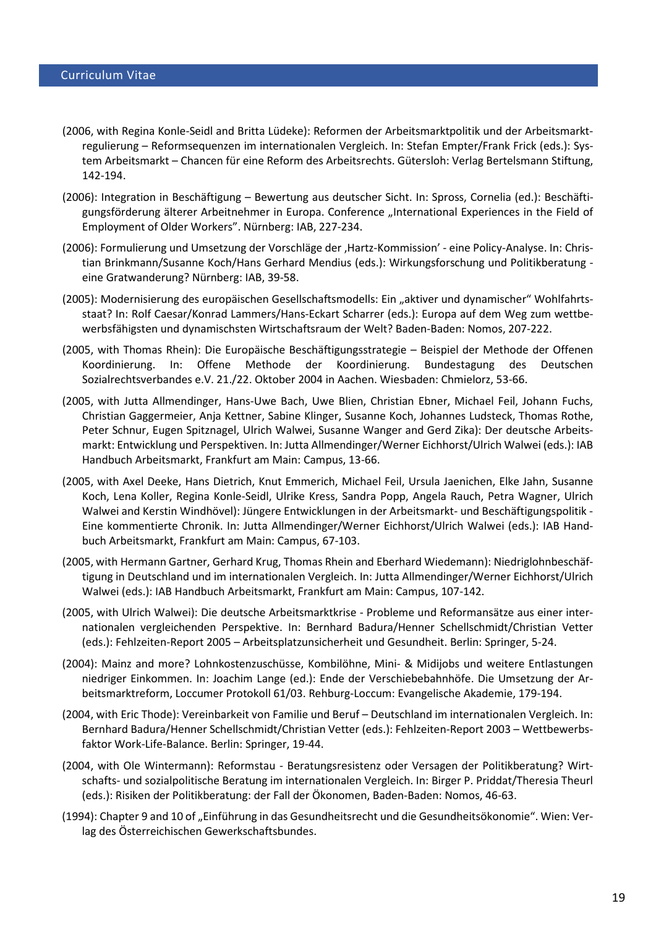- (2006, with Regina Konle-Seidl and Britta Lüdeke): Reformen der Arbeitsmarktpolitik und der Arbeitsmarktregulierung – Reformsequenzen im internationalen Vergleich. In: Stefan Empter/Frank Frick (eds.): System Arbeitsmarkt – Chancen für eine Reform des Arbeitsrechts. Gütersloh: Verlag Bertelsmann Stiftung, 142-194.
- (2006): Integration in Beschäftigung Bewertung aus deutscher Sicht. In: Spross, Cornelia (ed.): Beschäftigungsförderung älterer Arbeitnehmer in Europa. Conference "International Experiences in the Field of Employment of Older Workers". Nürnberg: IAB, 227-234.
- (2006): Formulierung und Umsetzung der Vorschläge der 'Hartz-Kommission' eine Policy-Analyse. In: Christian Brinkmann/Susanne Koch/Hans Gerhard Mendius (eds.): Wirkungsforschung und Politikberatung eine Gratwanderung? Nürnberg: IAB, 39-58.
- (2005): Modernisierung des europäischen Gesellschaftsmodells: Ein "aktiver und dynamischer" Wohlfahrtsstaat? In: Rolf Caesar/Konrad Lammers/Hans-Eckart Scharrer (eds.): Europa auf dem Weg zum wettbewerbsfähigsten und dynamischsten Wirtschaftsraum der Welt? Baden-Baden: Nomos, 207-222.
- (2005, with Thomas Rhein): Die Europäische Beschäftigungsstrategie Beispiel der Methode der Offenen Koordinierung. In: Offene Methode der Koordinierung. Bundestagung des Deutschen Sozialrechtsverbandes e.V. 21./22. Oktober 2004 in Aachen. Wiesbaden: Chmielorz, 53-66.
- (2005, with Jutta Allmendinger, Hans-Uwe Bach, Uwe Blien, Christian Ebner, Michael Feil, Johann Fuchs, Christian Gaggermeier, Anja Kettner, Sabine Klinger, Susanne Koch, Johannes Ludsteck, Thomas Rothe, Peter Schnur, Eugen Spitznagel, Ulrich Walwei, Susanne Wanger and Gerd Zika): Der deutsche Arbeitsmarkt: Entwicklung und Perspektiven. In: Jutta Allmendinger/Werner Eichhorst/Ulrich Walwei (eds.): IAB Handbuch Arbeitsmarkt, Frankfurt am Main: Campus, 13-66.
- (2005, with Axel Deeke, Hans Dietrich, Knut Emmerich, Michael Feil, Ursula Jaenichen, Elke Jahn, Susanne Koch, Lena Koller, Regina Konle-Seidl, Ulrike Kress, Sandra Popp, Angela Rauch, Petra Wagner, Ulrich Walwei and Kerstin Windhövel): Jüngere Entwicklungen in der Arbeitsmarkt- und Beschäftigungspolitik - Eine kommentierte Chronik. In: Jutta Allmendinger/Werner Eichhorst/Ulrich Walwei (eds.): IAB Handbuch Arbeitsmarkt, Frankfurt am Main: Campus, 67-103.
- (2005, with Hermann Gartner, Gerhard Krug, Thomas Rhein and Eberhard Wiedemann): Niedriglohnbeschäftigung in Deutschland und im internationalen Vergleich. In: Jutta Allmendinger/Werner Eichhorst/Ulrich Walwei (eds.): IAB Handbuch Arbeitsmarkt, Frankfurt am Main: Campus, 107-142.
- (2005, with Ulrich Walwei): Die deutsche Arbeitsmarktkrise Probleme und Reformansätze aus einer internationalen vergleichenden Perspektive. In: Bernhard Badura/Henner Schellschmidt/Christian Vetter (eds.): Fehlzeiten-Report 2005 – Arbeitsplatzunsicherheit und Gesundheit. Berlin: Springer, 5-24.
- (2004): Mainz and more? Lohnkostenzuschüsse, Kombilöhne, Mini- & Midijobs und weitere Entlastungen niedriger Einkommen. In: Joachim Lange (ed.): Ende der Verschiebebahnhöfe. Die Umsetzung der Arbeitsmarktreform, Loccumer Protokoll 61/03. Rehburg-Loccum: Evangelische Akademie, 179-194.
- (2004, with Eric Thode): Vereinbarkeit von Familie und Beruf Deutschland im internationalen Vergleich. In: Bernhard Badura/Henner Schellschmidt/Christian Vetter (eds.): Fehlzeiten-Report 2003 – Wettbewerbsfaktor Work-Life-Balance. Berlin: Springer, 19-44.
- (2004, with Ole Wintermann): Reformstau [Beratungsresistenz oder Versagen der Politikberatung? Wirt](http://www.iab.de/asp/internet/dbdokShow.asp?pkyDoku=k041210f04)schafts- [und sozialpolitische Beratung im internationalen Vergleich.](http://www.iab.de/asp/internet/dbdokShow.asp?pkyDoku=k041210f04) In: Birger P. Priddat/Theresia Theurl (eds.): Risiken der Politikberatung: der Fall der Ökonomen, Baden-Baden: Nomos, 46-63.
- (1994): Chapter 9 and 10 of "Einführung in das Gesundheitsrecht und die Gesundheitsökonomie". Wien: Verlag des Österreichischen Gewerkschaftsbundes.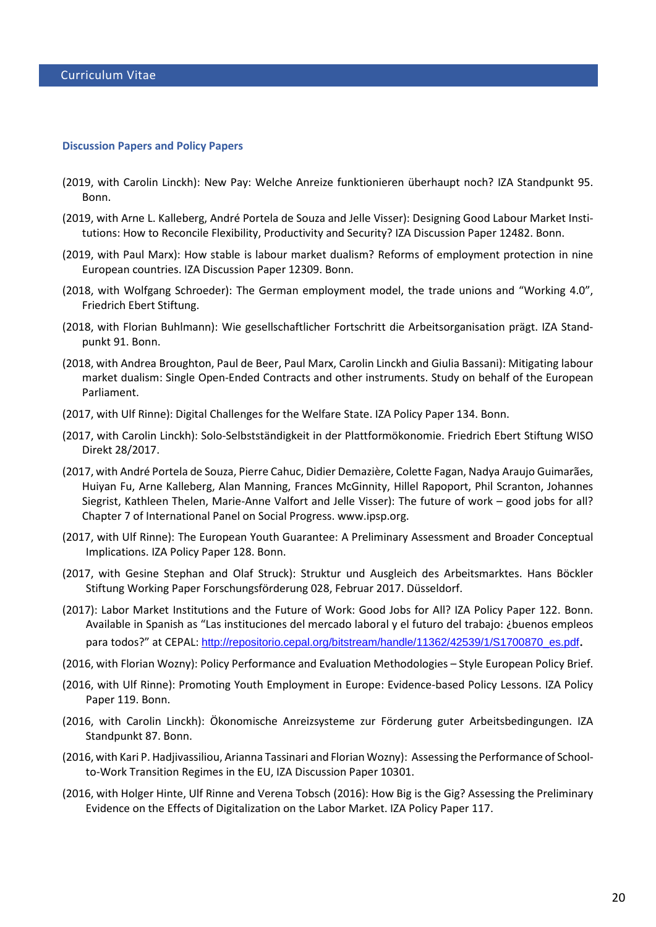#### **Discussion Papers and Policy Papers**

- (2019, with Carolin Linckh): New Pay: Welche Anreize funktionieren überhaupt noch? IZA Standpunkt 95. Bonn.
- (2019, with Arne L. Kalleberg, André Portela de Souza and Jelle Visser): Designing Good Labour Market Institutions: How to Reconcile Flexibility, Productivity and Security? IZA Discussion Paper 12482. Bonn.
- (2019, with Paul Marx): How stable is labour market dualism? Reforms of employment protection in nine European countries. IZA Discussion Paper 12309. Bonn.
- (2018, with Wolfgang Schroeder): The German employment model, the trade unions and "Working 4.0", Friedrich Ebert Stiftung.
- (2018, with Florian Buhlmann): Wie gesellschaftlicher Fortschritt die Arbeitsorganisation prägt. IZA Standpunkt 91. Bonn.
- (2018, with Andrea Broughton, Paul de Beer, Paul Marx, Carolin Linckh and Giulia Bassani): Mitigating labour market dualism: Single Open-Ended Contracts and other instruments. Study on behalf of the European Parliament.
- (2017, with Ulf Rinne): Digital Challenges for the Welfare State. IZA Policy Paper 134. Bonn.
- (2017, with Carolin Linckh): Solo-Selbstständigkeit in der Plattformökonomie. Friedrich Ebert Stiftung WISO Direkt 28/2017.
- (2017, with André Portela de Souza, Pierre Cahuc, Didier Demazière, Colette Fagan, Nadya Araujo Guimarães, Huiyan Fu, Arne Kalleberg, Alan Manning, Frances McGinnity, Hillel Rapoport, Phil Scranton, Johannes Siegrist, Kathleen Thelen, Marie-Anne Valfort and Jelle Visser): The future of work – good jobs for all? Chapter 7 of International Panel on Social Progress. www.ipsp.org.
- (2017, with Ulf Rinne): [The European Youth Guarantee: A Preliminary Assessment and Broader Conceptual](http://legacy.iza.org/en/webcontent/publications/policypapers/viewAbstract?policypaper_id=128)  [Implications.](http://legacy.iza.org/en/webcontent/publications/policypapers/viewAbstract?policypaper_id=128) IZA Policy Paper 128. Bonn.
- (2017, with Gesine Stephan and Olaf Struck): Struktur und Ausgleich des Arbeitsmarktes. Hans Böckler Stiftung Working Paper Forschungsförderung 028, Februar 2017. Düsseldorf.
- (2017): Labor Market Institutions and the Future of Work: Good Jobs for All? IZA Policy Paper 122. Bonn. Available in Spanish as "Las instituciones del mercado laboral y el futuro del trabajo: ¿buenos empleos para todos?" at CEPAL: [http://repositorio.cepal.org/bitstream/handle/11362/42539/1/S1700870\\_es.pdf](http://repositorio.cepal.org/bitstream/handle/11362/42539/1/S1700870_es.pdf).
- (2016, with Florian Wozny): Policy Performance and Evaluation Methodologies Style European Policy Brief.
- (2016, with Ulf Rinne): Promoting Youth Employment in Europe: Evidence-based Policy Lessons. IZA Policy Paper 119. Bonn.
- (2016, with Carolin Linckh): Ökonomische Anreizsysteme zur Förderung guter Arbeitsbedingungen. IZA Standpunkt 87. Bonn.
- (2016, with Kari P. Hadjivassiliou, Arianna Tassinari and Florian Wozny): [Assessing the Performance of School](http://www.iza.org/en/webcontent/publications/papers/viewAbstract?dp_id=10301)[to-Work Transition Regimes in the EU,](http://www.iza.org/en/webcontent/publications/papers/viewAbstract?dp_id=10301) IZA Discussion Paper 10301.
- (2016, with Holger Hinte, Ulf Rinne and Verena Tobsch (2016): [How Big is the Gig? Assessing the Preliminary](http://www.iza.org/en/webcontent/publications/policypapers/viewAbstract?policypaper_id=117)  [Evidence on the Effects of Digitalization on the Labor Market.](http://www.iza.org/en/webcontent/publications/policypapers/viewAbstract?policypaper_id=117) IZA Policy Paper 117.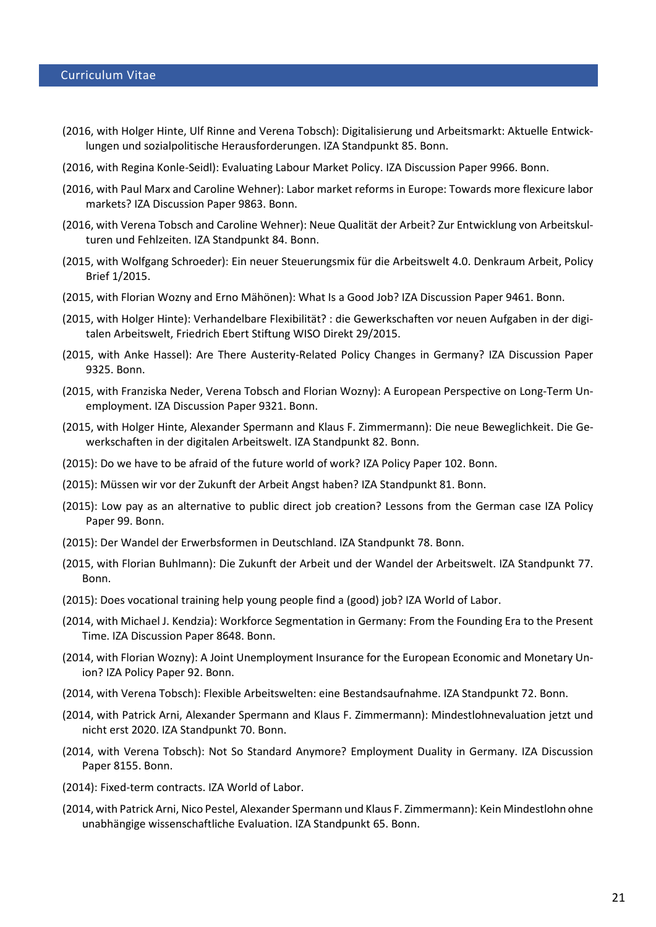- (2016, with Holger Hinte, Ulf Rinne and Verena Tobsch): Digitalisierung und Arbeitsmarkt: Aktuelle Entwicklungen und sozialpolitische Herausforderungen. IZA Standpunkt 85. Bonn.
- (2016, with Regina Konle-Seidl): Evaluating Labour Market Policy. IZA Discussion Paper 9966. Bonn.
- (2016, with Paul Marx and Caroline Wehner): Labor market reforms in Europe: Towards more flexicure labor markets? IZA Discussion Paper 9863. Bonn.
- (2016, with Verena Tobsch and Caroline Wehner): Neue Qualität der Arbeit? Zur Entwicklung von Arbeitskulturen und Fehlzeiten. IZA Standpunkt 84. Bonn.
- (2015, with Wolfgang Schroeder): Ein neuer Steuerungsmix für die Arbeitswelt 4.0. Denkraum Arbeit, Policy Brief 1/2015.
- (2015, with Florian Wozny and Erno Mähönen): What Is a Good Job? IZA Discussion Paper 9461. Bonn.
- (2015, with Holger Hinte): Verhandelbare Flexibilität? : die Gewerkschaften vor neuen Aufgaben in der digitalen Arbeitswelt, Friedrich Ebert Stiftung WISO Direkt 29/2015.
- (2015, with Anke Hassel): Are There Austerity-Related Policy Changes in Germany? IZA Discussion Paper 9325. Bonn.
- (2015, with Franziska Neder, Verena Tobsch and Florian Wozny): A European Perspective on Long-Term Unemployment. IZA Discussion Paper 9321. Bonn.
- (2015, with Holger Hinte, Alexander Spermann and Klaus F. Zimmermann): Die neue Beweglichkeit. Die Gewerkschaften in der digitalen Arbeitswelt. IZA Standpunkt 82. Bonn.
- (2015): Do we have to be afraid of the future world of work? IZA Policy Paper 102. Bonn.
- (2015): Müssen wir vor der Zukunft der Arbeit Angst haben? IZA Standpunkt 81. Bonn.
- (2015): Low pay as an alternative to public direct job creation? Lessons from the German case IZA Policy Paper 99. Bonn.
- (2015): Der Wandel der Erwerbsformen in Deutschland. IZA Standpunkt 78. Bonn.
- (2015, with Florian Buhlmann): Die Zukunft der Arbeit und der Wandel der Arbeitswelt. IZA Standpunkt 77. Bonn.
- (2015): [Does vocational training help young people find a \(good\) job?](http://wol.iza.org/articles/does-vocational-training-help-young-people-find-good-job) IZA World of Labor.
- (2014, with Michael J. Kendzia)[: Workforce Segmentation in Germany: From the Founding Era to the Present](http://www.iza.org/en/webcontent/publications/papers/viewAbstract?dp_id=8648)  [Time.](http://www.iza.org/en/webcontent/publications/papers/viewAbstract?dp_id=8648) IZA Discussion Paper 8648. Bonn.
- (2014, with Florian Wozny): A Joint Unemployment Insurance for the European Economic and Monetary Union? IZA Policy Paper 92. Bonn.
- (2014, with Verena Tobsch): Flexible Arbeitswelten: eine Bestandsaufnahme. IZA Standpunkt 72. Bonn.
- (2014, with Patrick Arni, Alexander Spermann and Klaus F. Zimmermann): Mindestlohnevaluation jetzt und nicht erst 2020. IZA Standpunkt 70. Bonn.
- (2014, with Verena Tobsch): [Not So Standard Anymore? Employment Duality in Germany.](http://www.iza.org/en/webcontent/publications/papers/viewAbstract?dp_id=8155) IZA Discussion Paper 8155. Bonn.
- (2014): Fixed-term contracts. IZA World of Labor.
- (2014, with Patrick Arni, Nico Pestel, Alexander Spermann und Klaus F. Zimmermann): Kein Mindestlohn ohne unabhängige wissenschaftliche Evaluation. IZA Standpunkt 65. Bonn.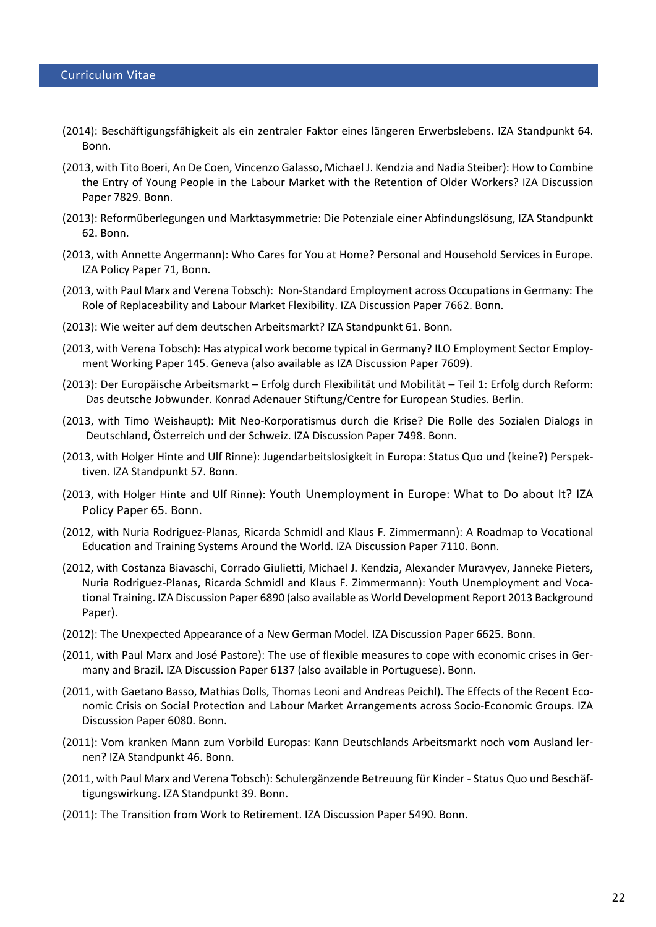- (2014): Beschäftigungsfähigkeit als ein zentraler Faktor eines längeren Erwerbslebens. IZA Standpunkt 64. Bonn.
- (2013, with Tito Boeri, An De Coen, Vincenzo Galasso, Michael J. Kendzia and Nadia Steiber)[: How to Combine](http://www.iza.org/en/webcontent/publications/papers/viewAbstract?dp_id=7829)  [the Entry of Young People in the Labour Market with the Retention of Older Workers?](http://www.iza.org/en/webcontent/publications/papers/viewAbstract?dp_id=7829) IZA Discussion Paper 7829. Bonn.
- (2013): Reformüberlegungen und Marktasymmetrie: Die Potenziale einer Abfindungslösung, IZA Standpunkt 62. Bonn.
- (2013, with Annette Angermann): [Who Cares for You at Home? Personal and Household Services in Europe.](http://www.sociopolitical-observatory.eu/fileadmin/user_upload/Dateien/Unterstuetzende_Dienstleistungen/Policy_Paper_71_IZA.pdf) IZA Policy Paper 71, Bonn.
- (2013, with Paul Marx and Verena Tobsch): [Non-Standard Employment across Occupations in Germany: The](http://www.iza.org/en/webcontent/publications/papers/viewAbstract?dp_id=7662)  [Role of Replaceability and Labour Market Flexibility.](http://www.iza.org/en/webcontent/publications/papers/viewAbstract?dp_id=7662) IZA Discussion Paper 7662. Bonn.
- (2013): Wie weiter auf dem deutschen Arbeitsmarkt? IZA Standpunkt 61. Bonn.
- (2013, with Verena Tobsch): Has atypical work become typical in Germany? ILO Employment Sector Employment Working Paper 145. Geneva (also available as IZA Discussion Paper 7609).
- (2013): Der Europäische Arbeitsmarkt Erfolg durch Flexibilität und Mobilität Teil 1: Erfolg durch Reform: Das deutsche Jobwunder. Konrad Adenauer Stiftung/Centre for European Studies. Berlin.
- (2013, with Timo Weishaupt): Mit Neo-Korporatismus durch die Krise? Die Rolle des Sozialen Dialogs in Deutschland, Österreich und der Schweiz. IZA Discussion Paper 7498. Bonn.
- (2013, with Holger Hinte and Ulf Rinne): Jugendarbeitslosigkeit in Europa: Status Quo und (keine?) Perspektiven. IZA Standpunkt 57. Bonn.
- (2013, with Holger Hinte and Ulf Rinne): Youth Unemployment in Europe: What to Do about It? IZA Policy Paper 65. Bonn.
- (2012, with Nuria Rodriguez-Planas, Ricarda Schmidl and Klaus F. Zimmermann): A Roadmap to Vocational Education and Training Systems Around the World. IZA Discussion Paper 7110. Bonn.
- (2012, with Costanza Biavaschi, Corrado Giulietti, Michael J. Kendzia, Alexander Muravyev, Janneke Pieters, Nuria Rodriguez-Planas, Ricarda Schmidl and Klaus F. Zimmermann): Youth Unemployment and Vocational Training. IZA Discussion Paper 6890 (also available as World Development Report 2013 Background Paper).
- (2012): The Unexpected Appearance of a New German Model. IZA Discussion Paper 6625. Bonn.
- (2011, with Paul Marx and José Pastore): The use of flexible measures to cope with economic crises in Germany and Brazil. IZA Discussion Paper 6137 (also available in Portuguese). Bonn.
- (2011, with Gaetano Basso, Mathias Dolls, Thomas Leoni and Andreas Peichl). [The Effects of the Recent Eco](http://www.iza.org/en/webcontent/publications/papers/viewAbstract?dp_id=6080)[nomic Crisis on Social Protection and Labour Market Arrangements across Socio-Economic Groups.](http://www.iza.org/en/webcontent/publications/papers/viewAbstract?dp_id=6080) IZA Discussion Paper 6080. Bonn.
- (2011): Vom kranken Mann zum Vorbild Europas: Kann Deutschlands Arbeitsmarkt noch vom Ausland lernen? IZA Standpunkt 46. Bonn.
- (2011, with Paul Marx and Verena Tobsch): Schulergänzende Betreuung für Kinder Status Quo und Beschäftigungswirkung. IZA Standpunkt 39. Bonn.
- (2011): The Transition from Work to Retirement. IZA Discussion Paper 5490. Bonn.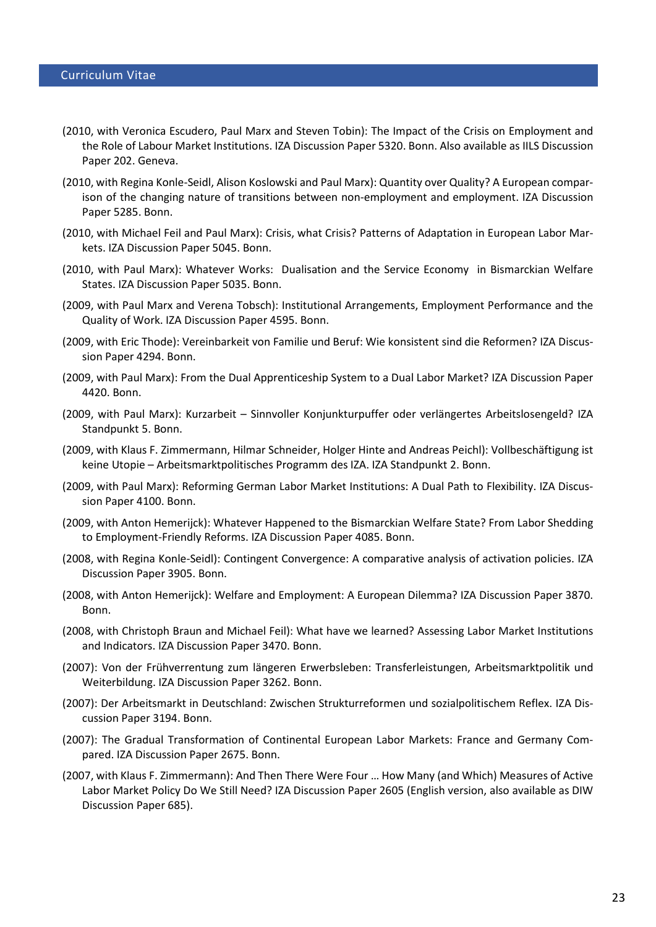- (2010, with Veronica Escudero, Paul Marx and Steven Tobin): The Impact of the Crisis on Employment and the Role of Labour Market Institutions. IZA Discussion Paper 5320. Bonn. Also available as IILS Discussion Paper 202. Geneva.
- (2010, with Regina Konle-Seidl, Alison Koslowski and Paul Marx): Quantity over Quality? A European comparison of the changing nature of transitions between non-employment and employment. IZA Discussion Paper 5285. Bonn.
- (2010, with Michael Feil and Paul Marx): Crisis, what Crisis? Patterns of Adaptation in European Labor Markets. IZA Discussion Paper 5045. Bonn.
- (2010, with Paul Marx): Whatever Works: Dualisation and the Service Economy in Bismarckian Welfare States. IZA Discussion Paper 5035. Bonn.
- (2009, with Paul Marx and Verena Tobsch): [Institutional Arrangements, Employment Performance and the](http://www.iza.org/en/webcontent/publications/papers/viewAbstract?dp_id=4595)  [Quality of Work.](http://www.iza.org/en/webcontent/publications/papers/viewAbstract?dp_id=4595) IZA Discussion Paper 4595. Bonn.
- (2009, with Eric Thode): Vereinbarkeit von Familie und Beruf: Wie konsistent sind die Reformen? IZA Discussion Paper 4294. Bonn.
- (2009, with Paul Marx): From the Dual Apprenticeship System to a Dual Labor Market? IZA Discussion Paper 4420. Bonn.
- (2009, with Paul Marx): Kurzarbeit Sinnvoller Konjunkturpuffer oder verlängertes Arbeitslosengeld? IZA Standpunkt 5. Bonn.
- (2009, with Klaus F. Zimmermann, Hilmar Schneider, Holger Hinte and Andreas Peichl): Vollbeschäftigung ist keine Utopie – Arbeitsmarktpolitisches Programm des IZA. IZA Standpunkt 2. Bonn.
- (2009, with Paul Marx): Reforming German Labor Market Institutions: A Dual Path to Flexibility. IZA Discussion Paper 4100. Bonn.
- (2009, with Anton Hemerijck): Whatever Happened to the Bismarckian Welfare State? From Labor Shedding to Employment-Friendly Reforms. IZA Discussion Paper 4085. Bonn.
- (2008, with Regina Konle-Seidl): Contingent Convergence: A comparative analysis of activation policies. IZA Discussion Paper 3905. Bonn.
- (2008, with Anton Hemerijck): Welfare and Employment: A European Dilemma? IZA Discussion Paper 3870. Bonn.
- (2008, with Christoph Braun and Michael Feil): What have we learned? Assessing Labor Market Institutions and Indicators. IZA Discussion Paper 3470. Bonn.
- (2007): Von der Frühverrentung zum längeren Erwerbsleben: Transferleistungen, Arbeitsmarktpolitik und Weiterbildung. IZA Discussion Paper 3262. Bonn.
- (2007): Der Arbeitsmarkt in Deutschland: Zwischen Strukturreformen und sozialpolitischem Reflex. IZA Discussion Paper 3194. Bonn.
- (2007): The Gradual Transformation of Continental European Labor Markets: France and Germany Compared. IZA Discussion Paper 2675. Bonn.
- (2007, with Klaus F. Zimmermann): And Then There Were Four … How Many (and Which) Measures of Active Labor Market Policy Do We Still Need? IZA Discussion Paper 2605 (English version, also available as DIW Discussion Paper 685).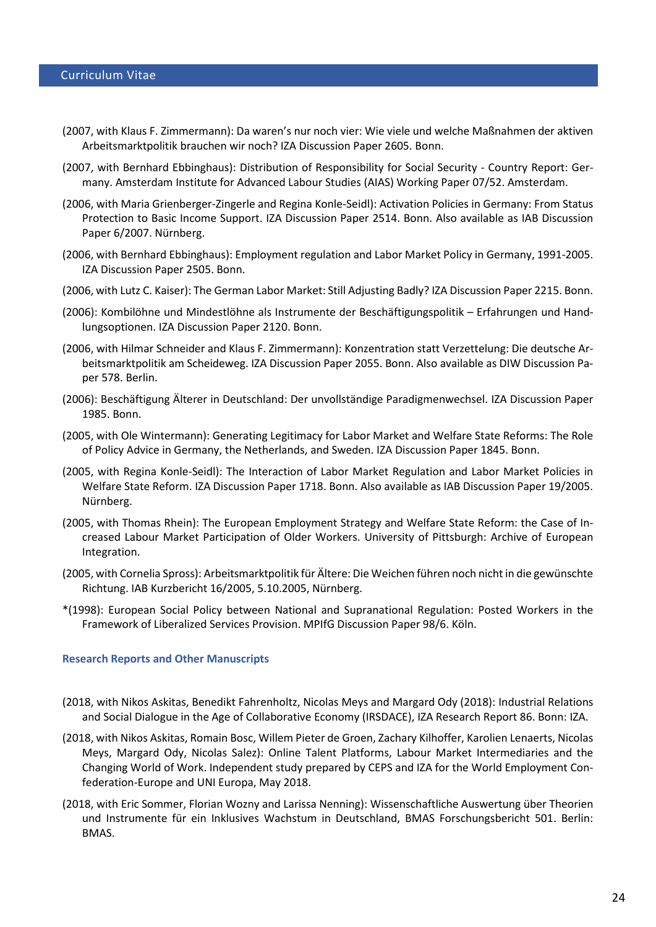- (2007, with Klaus F. Zimmermann): Da waren's nur noch vier: Wie viele und welche Maßnahmen der aktiven Arbeitsmarktpolitik brauchen wir noch? IZA Discussion Paper 2605. Bonn.
- (2007, with Bernhard Ebbinghaus): Distribution of Responsibility for Social Security Country Report: Germany. Amsterdam Institute for Advanced Labour Studies (AIAS) Working Paper 07/52. Amsterdam.
- (2006, with Maria Grienberger-Zingerle and Regina Konle-Seidl): Activation Policies in Germany: From Status Protection to Basic Income Support. IZA Discussion Paper 2514. Bonn. Also available as IAB Discussion Paper 6/2007. Nürnberg.
- (2006, with Bernhard Ebbinghaus): Employment regulation and Labor Market Policy in Germany, 1991-2005. IZA Discussion Paper 2505. Bonn.
- (2006, with Lutz C. Kaiser): The German Labor Market: Still Adjusting Badly? IZA Discussion Paper 2215. Bonn.
- (2006): Kombilöhne und Mindestlöhne als Instrumente der Beschäftigungspolitik Erfahrungen und Handlungsoptionen. IZA Discussion Paper 2120. Bonn.
- (2006, with Hilmar Schneider and Klaus F. Zimmermann): Konzentration statt Verzettelung: Die deutsche Arbeitsmarktpolitik am Scheideweg. IZA Discussion Paper 2055. Bonn. Also available as DIW Discussion Paper 578. Berlin.
- (2006): Beschäftigung Älterer in Deutschland: Der unvollständige Paradigmenwechsel. IZA Discussion Paper 1985. Bonn.
- (2005, with Ole Wintermann): Generating Legitimacy for Labor Market and Welfare State Reforms: The Role of Policy Advice in Germany, the Netherlands, and Sweden. IZA Discussion Paper 1845. Bonn.
- (2005, with Regina Konle-Seidl): The Interaction of Labor Market Regulation and Labor Market Policies in Welfare State Reform. IZA Discussion Paper 1718. Bonn. Also available as IAB Discussion Paper 19/2005. Nürnberg.
- (2005, with Thomas Rhein): The European Employment Strategy and Welfare State Reform: the Case of Increased Labour Market Participation of Older Workers. University of Pittsburgh: Archive of European Integration.
- (2005, with Cornelia Spross): Arbeitsmarktpolitik für Ältere: Die Weichen führen noch nicht in die gewünschte Richtung. IAB Kurzbericht 16/2005, 5.10.2005, Nürnberg.
- \*(1998): European Social Policy between National and Supranational Regulation: Posted Workers in the Framework of Liberalized Services Provision. MPIfG Discussion Paper 98/6. Köln.

### **Research Reports and Other Manuscripts**

- (2018, with Nikos Askitas, Benedikt Fahrenholtz, Nicolas Meys and Margard Ody (2018): [Industrial Relations](https://www.iza.org/publications/r/195/industrial-relations-and-social-dialogue-in-the-age-of-collaborative-economy-irsdace)  [and Social Dialogue in the Age of Collaborative Economy \(IRSDACE\),](https://www.iza.org/publications/r/195/industrial-relations-and-social-dialogue-in-the-age-of-collaborative-economy-irsdace) IZA Research Report 86. Bonn: IZA.
- (2018, with Nikos Askitas, Romain Bosc, Willem Pieter de Groen, Zachary Kilhoffer, Karolien Lenaerts, Nicolas Meys, Margard Ody, Nicolas Salez): Online Talent Platforms, Labour Market Intermediaries and the Changing World of Work. Independent study prepared by CEPS and IZA for the World Employment Confederation-Europe and UNI Europa, May 2018.
- (2018, with Eric Sommer, Florian Wozny and Larissa Nenning): Wissenschaftliche Auswertung über Theorien und Instrumente für ein Inklusives Wachstum in Deutschland, BMAS Forschungsbericht 501. Berlin: BMAS.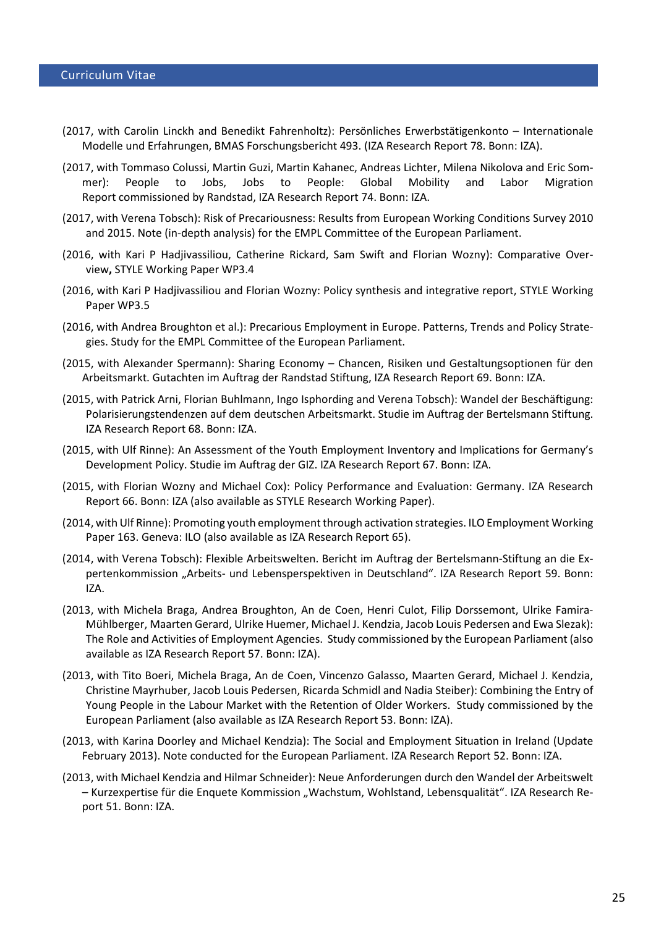- (2017, with Carolin Linckh and Benedikt Fahrenholtz): Persönliches Erwerbstätigenkonto Internationale Modelle und Erfahrungen, BMAS Forschungsbericht 493. (IZA Research Report 78. Bonn: IZA).
- (2017, with Tommaso Colussi, Martin Guzi, Martin Kahanec, Andreas Lichter, Milena Nikolova and Eric Sommer): People to Jobs, Jobs to People: Global Mobility and Labor Migration Report commissioned by Randstad, IZA Research Report 74. Bonn: IZA.
- (2017, with Verena Tobsch): Risk of Precariousness: Results from European Working Conditions Survey 2010 and 2015. Note (in-depth analysis) for the EMPL Committee of the European Parliament.
- (2016, with Kari P Hadjivassiliou, Catherine Rickard, Sam Swift and Florian Wozny): Comparative Overview**,** [STYLE Working Paper WP3.4](http://www.style-research.eu/wordpress/wp-content/uploads/2016/10/D_3_4_Report_Comparative_Overview_Synthesis_FINAL.pdf)
- (2016, with Kari P Hadjivassiliou and Florian Wozny: Policy synthesis and integrative report, [STYLE Working](http://www.style-research.eu/wordpress/wp-content/uploads/2016/10/D_3_5_Policy_Synthesis_and_Integrative_Report_FINAL.pdf)  [Paper WP3.5](http://www.style-research.eu/wordpress/wp-content/uploads/2016/10/D_3_5_Policy_Synthesis_and_Integrative_Report_FINAL.pdf)
- (2016, with Andrea Broughton et al.): Precarious Employment in Europe. Patterns, Trends and Policy Strategies. Study for the EMPL Committee of the European Parliament.
- (2015, with Alexander Spermann): Sharing Economy [Chancen, Risiken und Gestaltungsoptionen für den](http://www.iza.org/en/webcontent/publications/reports/report_pdfs/report_pdfs/iza_report_69.pdf)  [Arbeitsmarkt.](http://www.iza.org/en/webcontent/publications/reports/report_pdfs/report_pdfs/iza_report_69.pdf) Gutachten im Auftrag der Randstad Stiftung, IZA Research Report 69. Bonn: IZA.
- (2015, with Patrick Arni, Florian Buhlmann, Ingo Isphording and Verena Tobsch): Wandel der Beschäftigung: Polarisierungstendenzen auf dem deutschen Arbeitsmarkt. Studie im Auftrag der Bertelsmann Stiftung. IZA Research Report 68. Bonn: IZA.
- (2015, with Ulf Rinne): An Assessment of the Youth Employment Inventory and Implications for Germany's Development Policy. Studie im Auftrag der GIZ. IZA Research Report 67. Bonn: IZA.
- (2015, with Florian Wozny and Michael Cox): Policy Performance and Evaluation: Germany. IZA Research Report 66. Bonn: IZA (also available as STYLE Research Working Paper).
- (2014, with Ulf Rinne): Promoting youth employment through activation strategies. ILO Employment Working Paper 163. Geneva: ILO (also available as IZA Research Report 65).
- (2014, with Verena Tobsch): Flexible Arbeitswelten. Bericht im Auftrag der Bertelsmann-Stiftung an die Expertenkommission "Arbeits- und Lebensperspektiven in Deutschland". IZA Research Report 59. Bonn: IZA.
- (2013, with Michela Braga, Andrea Broughton, An de Coen, Henri Culot, Filip Dorssemont, Ulrike Famira-Mühlberger, Maarten Gerard, Ulrike Huemer, Michael J. Kendzia, Jacob Louis Pedersen and Ewa Slezak): The Role and Activities of Employment Agencies. Study commissioned by the European Parliament (also available as IZA Research Report 57. Bonn: IZA).
- (2013, with Tito Boeri, Michela Braga, An de Coen, Vincenzo Galasso, Maarten Gerard, Michael J. Kendzia, Christine Mayrhuber, Jacob Louis Pedersen, Ricarda Schmidl and Nadia Steiber): Combining the Entry of Young People in the Labour Market with the Retention of Older Workers. Study commissioned by the European Parliament (also available as IZA Research Report 53. Bonn: IZA).
- (2013, with Karina Doorley and Michael Kendzia): The Social and Employment Situation in Ireland (Update February 2013). Note conducted for the European Parliament. IZA Research Report 52. Bonn: IZA.
- (2013, with Michael Kendzia and Hilmar Schneider): Neue Anforderungen durch den Wandel der Arbeitswelt – Kurzexpertise für die Enquete Kommission "Wachstum, Wohlstand, Lebensqualität". IZA Research Report 51. Bonn: IZA.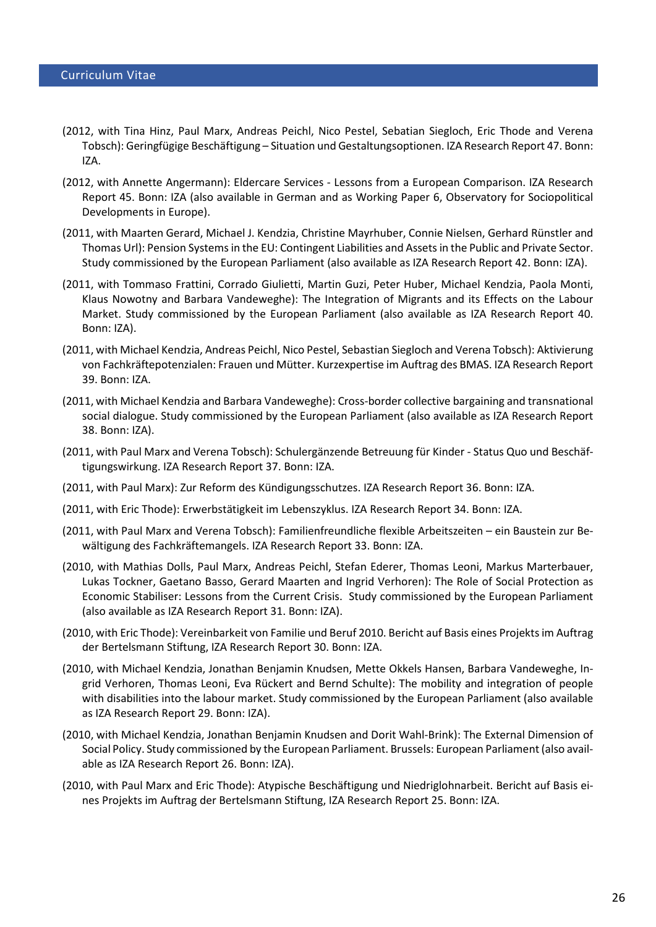- (2012, with Tina Hinz, Paul Marx, Andreas Peichl, Nico Pestel, Sebatian Siegloch, Eric Thode and Verena Tobsch): Geringfügige Beschäftigung – Situation und Gestaltungsoptionen. IZA Research Report 47. Bonn: IZA.
- (2012, with Annette Angermann): Eldercare Services Lessons from a European Comparison. IZA Research Report 45. Bonn: IZA (also available in German and as Working Paper 6, Observatory for Sociopolitical Developments in Europe).
- (2011, with Maarten Gerard, Michael J. Kendzia, Christine Mayrhuber, Connie Nielsen, Gerhard Rünstler and Thomas Url): Pension Systems in the EU: Contingent Liabilities and Assets in the Public and Private Sector. Study commissioned by the European Parliament (also available as IZA Research Report 42. Bonn: IZA).
- (2011, with Tommaso Frattini, Corrado Giulietti, Martin Guzi, Peter Huber, Michael Kendzia, Paola Monti, Klaus Nowotny and Barbara Vandeweghe): The Integration of Migrants and its Effects on the Labour Market. Study commissioned by the European Parliament (also available as IZA Research Report 40. Bonn: IZA).
- (2011, with Michael Kendzia, Andreas Peichl, Nico Pestel, Sebastian Siegloch and Verena Tobsch): Aktivierung von Fachkräftepotenzialen: Frauen und Mütter. Kurzexpertise im Auftrag des BMAS. IZA Research Report 39. Bonn: IZA.
- (2011, with Michael Kendzia and Barbara Vandeweghe): Cross-border collective bargaining and transnational social dialogue. Study commissioned by the European Parliament (also available as IZA Research Report 38. Bonn: IZA).
- (2011, with Paul Marx and Verena Tobsch): Schulergänzende Betreuung für Kinder Status Quo und Beschäftigungswirkung. IZA Research Report 37. Bonn: IZA.
- (2011, with Paul Marx): Zur Reform des Kündigungsschutzes. IZA Research Report 36. Bonn: IZA.
- (2011, with Eric Thode): Erwerbstätigkeit im Lebenszyklus. IZA Research Report 34. Bonn: IZA.
- (2011, with Paul Marx and Verena Tobsch): Familienfreundliche flexible Arbeitszeiten ein Baustein zur Bewältigung des Fachkräftemangels. IZA Research Report 33. Bonn: IZA.
- (2010, with Mathias Dolls, Paul Marx, Andreas Peichl, Stefan Ederer, Thomas Leoni, Markus Marterbauer, Lukas Tockner, Gaetano Basso, Gerard Maarten and Ingrid Verhoren): The Role of Social Protection as Economic Stabiliser: Lessons from the Current Crisis. Study commissioned by the European Parliament (also available as IZA Research Report 31. Bonn: IZA).
- (2010, with Eric Thode): [Vereinbarkeit von Familie und Beruf 2010.](http://www.iza.org/en/webcontent/publications/reports/report_pdfs/report_pdfs/iza_report_30.pdf) Bericht auf Basis eines Projekts im Auftrag der Bertelsmann Stiftung, IZA Research Report 30. Bonn: IZA.
- (2010, with Michael Kendzia, Jonathan Benjamin Knudsen, Mette Okkels Hansen, Barbara Vandeweghe, Ingrid Verhoren, Thomas Leoni, Eva Rückert and Bernd Schulte): The mobility and integration of people with disabilities into the labour market. Study commissioned by the European Parliament (also available as IZA Research Report 29. Bonn: IZA).
- (2010, with Michael Kendzia, Jonathan Benjamin Knudsen and Dorit Wahl-Brink): The External Dimension of Social Policy. Study commissioned by the European Parliament. Brussels: European Parliament (also available as IZA Research Report 26. Bonn: IZA).
- (2010, with Paul Marx and Eric Thode): Atypische Beschäftigung und Niedriglohnarbeit. Bericht auf Basis eines Projekts im Auftrag der Bertelsmann Stiftung, IZA Research Report 25. Bonn: IZA.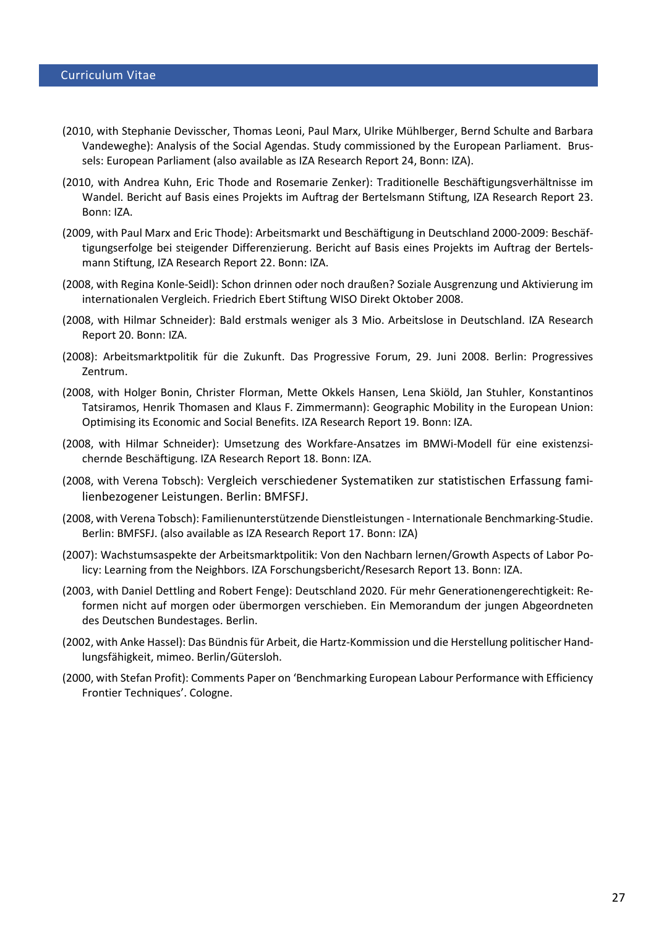- (2010, with Stephanie Devisscher, Thomas Leoni, Paul Marx, Ulrike Mühlberger, Bernd Schulte and Barbara Vandeweghe): Analysis of the Social Agendas. Study commissioned by the European Parliament. Brussels: European Parliament (also available as IZA Research Report 24, Bonn: IZA).
- (2010, with Andrea Kuhn, Eric Thode and Rosemarie Zenker): [Traditionelle Beschäftigungsverhältnisse im](http://www.iza.org/en/webcontent/publications/reports/report_pdfs/report_pdfs/iza_report_23.pdf)  [Wandel.](http://www.iza.org/en/webcontent/publications/reports/report_pdfs/report_pdfs/iza_report_23.pdf) Bericht auf Basis eines Projekts im Auftrag der Bertelsmann Stiftung, IZA Research Report 23. Bonn: IZA.
- (2009, with Paul Marx and Eric Thode[\): Arbeitsmarkt und Beschäftigung in Deutschland 2000-2009: Beschäf](http://www.iza.org/en/webcontent/publications/reports/report_pdfs/report_pdfs/iza_report_22.pdf)[tigungserfolge bei steigender](http://www.iza.org/en/webcontent/publications/reports/report_pdfs/report_pdfs/iza_report_22.pdf) Differenzierung. Bericht auf Basis eines Projekts im Auftrag der Bertelsmann Stiftung, IZA Research Report 22. Bonn: IZA.
- (2008, with Regina Konle-Seidl): Schon drinnen oder noch draußen? Soziale Ausgrenzung und Aktivierung im internationalen Vergleich. Friedrich Ebert Stiftung WISO Direkt Oktober 2008.
- (2008, with Hilmar Schneider): Bald erstmals weniger als 3 Mio. Arbeitslose in Deutschland. IZA Research Report 20. Bonn: IZA.
- (2008): Arbeitsmarktpolitik für die Zukunft. Das Progressive Forum, 29. Juni 2008. Berlin: Progressives Zentrum.
- (2008, with Holger Bonin, Christer Florman, Mette Okkels Hansen, Lena Skiöld, Jan Stuhler, Konstantinos Tatsiramos, Henrik Thomasen and Klaus F. Zimmermann): Geographic Mobility in the European Union: Optimising its Economic and Social Benefits. IZA Research Report 19. Bonn: IZA.
- (2008, with Hilmar Schneider): Umsetzung des Workfare-Ansatzes im BMWi-Modell für eine existenzsichernde Beschäftigung. IZA Research Report 18. Bonn: IZA.
- (2008, with Verena Tobsch): Vergleich verschiedener Systematiken zur statistischen Erfassung familienbezogener Leistungen. Berlin: BMFSFJ.
- (2008, with Verena Tobsch): Familienunterstützende Dienstleistungen Internationale Benchmarking-Studie. Berlin: BMFSFJ. (also available as IZA Research Report 17. Bonn: IZA)
- (2007): Wachstumsaspekte der Arbeitsmarktpolitik: Von den Nachbarn lernen/Growth Aspects of Labor Policy: Learning from the Neighbors. IZA Forschungsbericht/Resesarch Report 13. Bonn: IZA.
- (2003, with Daniel Dettling and Robert Fenge): Deutschland 2020. Für mehr Generationengerechtigkeit: Reformen nicht auf morgen oder übermorgen verschieben. Ein Memorandum der jungen Abgeordneten des Deutschen Bundestages. Berlin.
- (2002, with Anke Hassel): Das Bündnis für Arbeit, die Hartz-Kommission und die Herstellung politischer Handlungsfähigkeit, mimeo. Berlin/Gütersloh.
- (2000, with Stefan Profit): Comments Paper on 'Benchmarking European Labour Performance with Efficiency Frontier Techniques'. Cologne.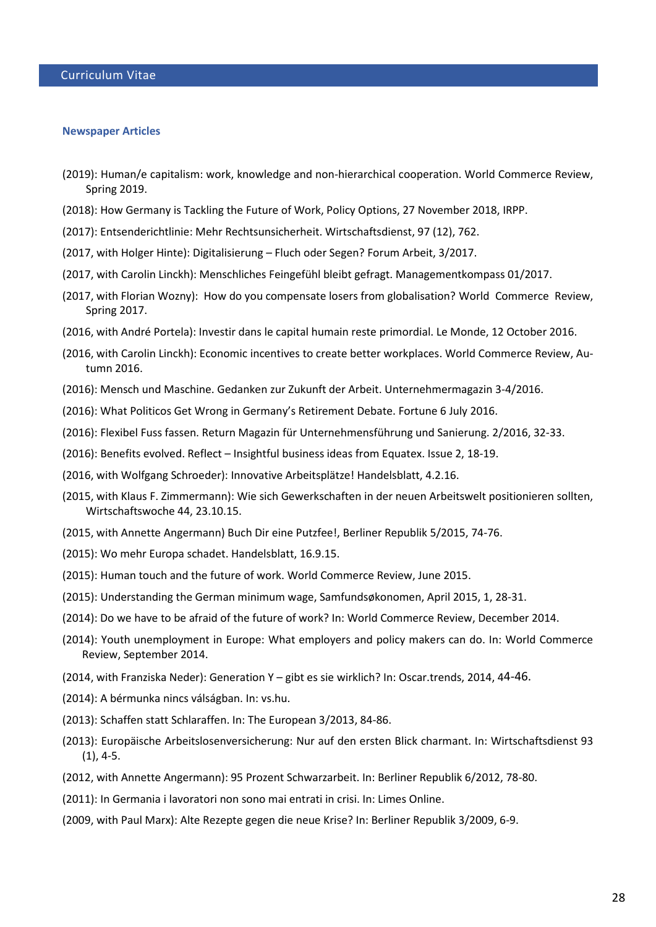#### **Newspaper Articles**

- (2019): Human/e capitalism: work, knowledge and non-hierarchical cooperation. World Commerce Review, Spring 2019.
- (2018): How Germany is Tackling the Future of Work, Policy Options, 27 November 2018, IRPP.
- (2017): Entsenderichtlinie: Mehr Rechtsunsicherheit. Wirtschaftsdienst, 97 (12), 762.
- (2017, with Holger Hinte): Digitalisierung Fluch oder Segen? Forum Arbeit, 3/2017.
- (2017, with Carolin Linckh): Menschliches Feingefühl bleibt gefragt. Managementkompass 01/2017.
- (2017, with Florian Wozny): How do you compensate losers from globalisation? World Commerce Review, Spring 2017.
- (2016, with André Portela): Investir dans le capital humain reste primordial. Le Monde, 12 October 2016.
- (2016, with Carolin Linckh): Economic incentives to create better workplaces. World Commerce Review, Autumn 2016.
- (2016): Mensch und Maschine. Gedanken zur Zukunft der Arbeit. Unternehmermagazin 3-4/2016.
- (2016): What Politicos Get Wrong in Germany's Retirement Debate. Fortune 6 July 2016.
- (2016): Flexibel Fuss fassen. Return Magazin für Unternehmensführung und Sanierung. 2/2016, 32-33.
- (2016): Benefits evolved. Reflect Insightful business ideas from Equatex. Issue 2, 18-19.
- (2016, with Wolfgang Schroeder): Innovative Arbeitsplätze! Handelsblatt, 4.2.16.
- (2015, with Klaus F. Zimmermann): Wie sich Gewerkschaften in der neuen Arbeitswelt positionieren sollten, Wirtschaftswoche 44, 23.10.15.
- (2015, with Annette Angermann) Buch Dir eine Putzfee!, Berliner Republik 5/2015, 74-76.
- (2015): Wo mehr Europa schadet. Handelsblatt, 16.9.15.
- (2015): Human touch and the future of work. World Commerce Review, June 2015.
- (2015): Understanding the German minimum wage, Samfundsøkonomen, April 2015, 1, 28-31.
- (2014): Do we have to be afraid of the future of work? In: World Commerce Review, December 2014.
- (2014): Youth unemployment in Europe: What employers and policy makers can do. In: World Commerce Review, September 2014.
- (2014, with Franziska Neder): Generation Y gibt es sie wirklich? In: Oscar.trends, 2014, 44-46.
- (2014): [A bérmunka nincs válságban.](http://vs.hu/versus/feltetel-nelkuli-alapjovedelem/6/) In: vs.hu.
- (2013): Schaffen statt Schlaraffen. In: The European 3/2013, 84-86.
- (2013): Europäische Arbeitslosenversicherung: Nur auf den ersten Blick charmant. In: Wirtschaftsdienst 93 (1), 4-5.
- (2012, with Annette Angermann): 95 Prozent Schwarzarbeit. In: Berliner Republik 6/2012, 78-80.
- (2011): In Germania i lavoratori non sono mai entrati in crisi. In: Limes Online.
- (2009, with Paul Marx): Alte Rezepte gegen die neue Krise? In: Berliner Republik 3/2009, 6-9.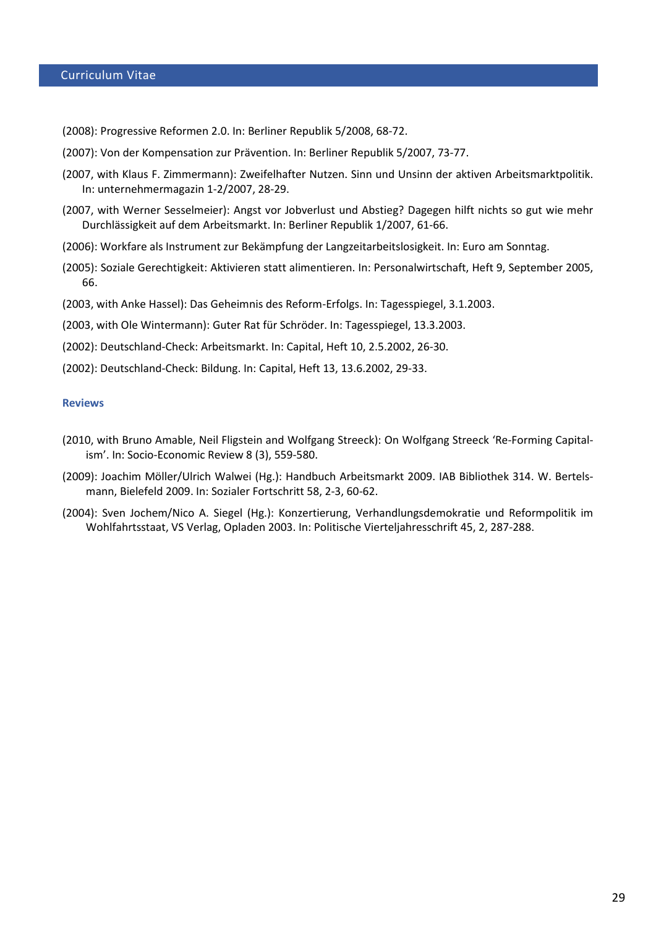(2008): Progressive Reformen 2.0. In: Berliner Republik 5/2008, 68-72.

- (2007): Von der Kompensation zur Prävention. In: Berliner Republik 5/2007, 73-77.
- (2007, with Klaus F. Zimmermann): Zweifelhafter Nutzen. Sinn und Unsinn der aktiven Arbeitsmarktpolitik. In: unternehmermagazin 1-2/2007, 28-29.
- (2007, with Werner Sesselmeier): Angst vor Jobverlust und Abstieg? Dagegen hilft nichts so gut wie mehr Durchlässigkeit auf dem Arbeitsmarkt. In: Berliner Republik 1/2007, 61-66.
- (2006): Workfare als Instrument zur Bekämpfung der Langzeitarbeitslosigkeit. In: Euro am Sonntag.
- (2005): Soziale Gerechtigkeit: Aktivieren statt alimentieren. In: Personalwirtschaft, Heft 9, September 2005, 66.
- (2003, with Anke Hassel): Das Geheimnis des Reform-Erfolgs. In: Tagesspiegel, 3.1.2003.
- (2003, with Ole Wintermann): Guter Rat für Schröder. In: Tagesspiegel, 13.3.2003.
- (2002): Deutschland-Check: Arbeitsmarkt. In: Capital, Heft 10, 2.5.2002, 26-30.
- (2002): Deutschland-Check: Bildung. In: Capital, Heft 13, 13.6.2002, 29-33.

#### **Reviews**

- (2010, with Bruno Amable, Neil Fligstein and Wolfgang Streeck): On Wolfgang Streeck 'Re-Forming Capitalism'. In: Socio-Economic Review 8 (3), 559-580.
- (2009): Joachim Möller/Ulrich Walwei (Hg.): Handbuch Arbeitsmarkt 2009. IAB Bibliothek 314. W. Bertelsmann, Bielefeld 2009. In: Sozialer Fortschritt 58, 2-3, 60-62.
- (2004): Sven Jochem/Nico A. Siegel (Hg.): Konzertierung, Verhandlungsdemokratie und Reformpolitik im Wohlfahrtsstaat, VS Verlag, Opladen 2003. In: Politische Vierteljahresschrift 45, 2, 287-288.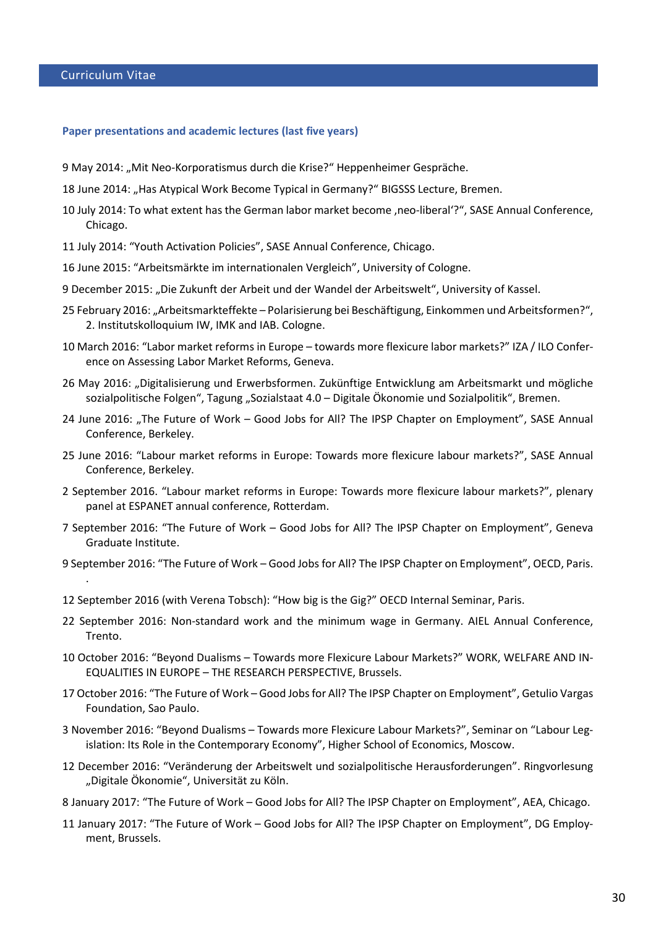#### **Paper presentations and academic lectures (last five years)**

- 9 May 2014: "Mit Neo-Korporatismus durch die Krise?" Heppenheimer Gespräche.
- 18 June 2014: "Has Atypical Work Become Typical in Germany?" BIGSSS Lecture, Bremen.
- 10 July 2014: To what extent has the German labor market become ,neo-liberal'?", SASE Annual Conference, Chicago.
- 11 July 2014: "Youth Activation Policies", SASE Annual Conference, Chicago.
- 16 June 2015: "Arbeitsmärkte im internationalen Vergleich", University of Cologne.
- 9 December 2015: "Die Zukunft der Arbeit und der Wandel der Arbeitswelt", University of Kassel.
- 25 February 2016: "Arbeitsmarkteffekte Polarisierung bei Beschäftigung, Einkommen und Arbeitsformen?", 2. Institutskolloquium IW, IMK and IAB. Cologne.
- 10 March 2016: "Labor market reforms in Europe towards more flexicure labor markets?" IZA / ILO Conference on Assessing Labor Market Reforms, Geneva.
- 26 May 2016: "Digitalisierung und Erwerbsformen. Zukünftige Entwicklung am Arbeitsmarkt und mögliche sozialpolitische Folgen", Tagung "Sozialstaat 4.0 – Digitale Ökonomie und Sozialpolitik", Bremen.
- 24 June 2016: "The Future of Work Good Jobs for All? The IPSP Chapter on Employment", SASE Annual Conference, Berkeley.
- 25 June 2016: "Labour market reforms in Europe: Towards more flexicure labour markets?", SASE Annual Conference, Berkeley.
- 2 September 2016. "Labour market reforms in Europe: Towards more flexicure labour markets?", plenary panel at ESPANET annual conference, Rotterdam.
- 7 September 2016: "The Future of Work Good Jobs for All? The IPSP Chapter on Employment", Geneva Graduate Institute.
- 9 September 2016: "The Future of Work Good Jobs for All? The IPSP Chapter on Employment", OECD, Paris. .
- 12 September 2016 (with Verena Tobsch): "How big is the Gig?" OECD Internal Seminar, Paris.
- 22 September 2016: Non-standard work and the minimum wage in Germany. AIEL Annual Conference, Trento.
- 10 October 2016: "Beyond Dualisms Towards more Flexicure Labour Markets?" WORK, WELFARE AND IN-EQUALITIES IN EUROPE – THE RESEARCH PERSPECTIVE, Brussels.
- 17 October 2016: "The Future of Work Good Jobs for All? The IPSP Chapter on Employment", Getulio Vargas Foundation, Sao Paulo.
- 3 November 2016: "Beyond Dualisms Towards more Flexicure Labour Markets?", Seminar on "Labour Legislation: Its Role in the Contemporary Economy", Higher School of Economics, Moscow.
- 12 December 2016: "Veränderung der Arbeitswelt und sozialpolitische Herausforderungen". Ringvorlesung "Digitale Ökonomie", Universität zu Köln.
- 8 January 2017: "The Future of Work Good Jobs for All? The IPSP Chapter on Employment", AEA, Chicago.
- 11 January 2017: "The Future of Work Good Jobs for All? The IPSP Chapter on Employment", DG Employment, Brussels.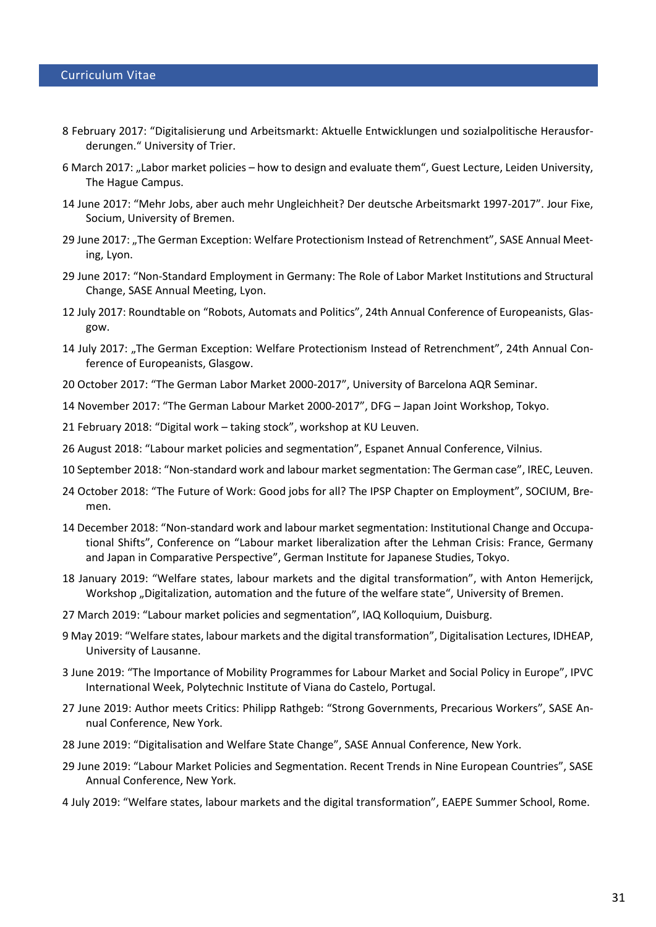- 8 February 2017: "Digitalisierung und Arbeitsmarkt: Aktuelle Entwicklungen und sozialpolitische Herausforderungen." University of Trier.
- 6 March 2017: "Labor market policies how to design and evaluate them", Guest Lecture, Leiden University, The Hague Campus.
- 14 June 2017: "Mehr Jobs, aber auch mehr Ungleichheit? Der deutsche Arbeitsmarkt 1997-2017". Jour Fixe, Socium, University of Bremen.
- 29 June 2017: ["The German Exception: Welfare](https://sase.confex.com/sase/2017/meetingapp.cgi/Paper/6904) [Protectionism](https://sase.confex.com/sase/2017/meetingapp.cgi/Paper/6904) [Instead](https://sase.confex.com/sase/2017/meetingapp.cgi/Paper/6904) [of](https://sase.confex.com/sase/2017/meetingapp.cgi/Paper/6904) [Retrenchment"](https://sase.confex.com/sase/2017/meetingapp.cgi/Paper/6904), SASE Annual Meeting, Lyon.
- 29 June 2017: ["Non-Standard Employment](https://sase.confex.com/sase/2017/meetingapp.cgi/Paper/6810) [in Germany: The Role](https://sase.confex.com/sase/2017/meetingapp.cgi/Paper/6810) [of](https://sase.confex.com/sase/2017/meetingapp.cgi/Paper/6810) [Labor Market Institutions](https://sase.confex.com/sase/2017/meetingapp.cgi/Paper/6810) [and](https://sase.confex.com/sase/2017/meetingapp.cgi/Paper/6810) [Structural](https://sase.confex.com/sase/2017/meetingapp.cgi/Paper/6810) Change, SASE Annual Meeting, Lyon.
- 12 July 2017: Roundtable on "Robots, Automats and Politics", 24th Annual Conference of Europeanists, Glasgow.
- 14 July 2017: ["The German Exception: Welfare](https://sase.confex.com/sase/2017/meetingapp.cgi/Paper/6904) [Protectionism](https://sase.confex.com/sase/2017/meetingapp.cgi/Paper/6904) [Instead](https://sase.confex.com/sase/2017/meetingapp.cgi/Paper/6904) [of](https://sase.confex.com/sase/2017/meetingapp.cgi/Paper/6904) [Retrenchment"](https://sase.confex.com/sase/2017/meetingapp.cgi/Paper/6904), 24th Annual Conference of Europeanists, Glasgow.
- 20 October 2017: "The German Labor Market 2000-2017", University of Barcelona AQR Seminar.
- 14 November 2017: "The German Labour Market 2000-2017", DFG Japan Joint Workshop, Tokyo.
- 21 February 2018: "Digital work taking stock", workshop at KU Leuven.
- 26 August 2018: "Labour market policies and segmentation", Espanet Annual Conference, Vilnius.
- 10 September 2018: "Non-standard work and labour market segmentation: The German case", IREC, Leuven.
- 24 October 2018: "The Future of Work: Good jobs for all? The IPSP Chapter on Employment", SOCIUM, Bremen.
- 14 December 2018: "Non-standard work and labour market segmentation: Institutional Change and Occupational Shifts", Conference on "Labour market liberalization after the Lehman Crisis: France, Germany and Japan in Comparative Perspective", German Institute for Japanese Studies, Tokyo.
- 18 January 2019: "Welfare states, labour markets and the digital transformation", with Anton Hemerijck, Workshop "Digitalization, automation and the future of the welfare state", University of Bremen.
- 27 March 2019: "Labour market policies and segmentation", IAQ Kolloquium, Duisburg.
- 9 May 2019: "Welfare states, labour markets and the digital transformation", Digitalisation Lectures, IDHEAP, University of Lausanne.
- 3 June 2019: "The Importance of Mobility Programmes for Labour Market and Social Policy in Europe", IPVC International Week, Polytechnic Institute of Viana do Castelo, Portugal.
- 27 June 2019: Author meets Critics: Philipp Rathgeb: "Strong Governments, Precarious Workers", SASE Annual Conference, New York.
- 28 June 2019: "Digitalisation and Welfare State Change", SASE Annual Conference, New York.
- 29 June 2019: "Labour Market Policies and Segmentation. Recent Trends in Nine European Countries", SASE Annual Conference, New York.
- 4 July 2019: "Welfare states, labour markets and the digital transformation", EAEPE Summer School, Rome.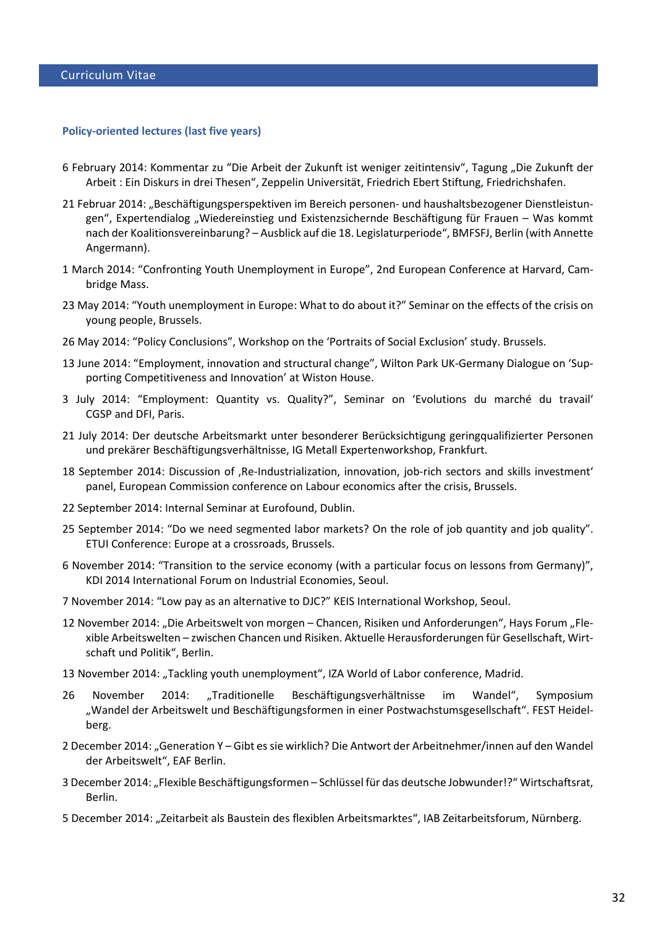#### **Policy-oriented lectures (last five years)**

- 6 February 2014: Kommentar zu "Die Arbeit der Zukunft ist weniger zeitintensiv", Tagung "Die Zukunft der Arbeit : Ein Diskurs in drei Thesen", Zeppelin Universität, Friedrich Ebert Stiftung, Friedrichshafen.
- 21 Februar 2014: "Beschäftigungsperspektiven im Bereich personen- und haushaltsbezogener Dienstleistungen", Expertendialog "Wiedereinstieg und Existenzsichernde Beschäftigung für Frauen – Was kommt nach der Koalitionsvereinbarung? – Ausblick auf die 18. Legislaturperiode", BMFSFJ, Berlin (with Annette Angermann).
- 1 March 2014: "Confronting Youth Unemployment in Europe", 2nd European Conference at Harvard, Cambridge Mass.
- 23 May 2014: "Youth unemployment in Europe: What to do about it?" Seminar on the effects of the crisis on young people, Brussels.
- 26 May 2014: "Policy Conclusions", Workshop on the 'Portraits of Social Exclusion' study. Brussels.
- 13 June 2014: "Employment, innovation and structural change", Wilton Park UK-Germany Dialogue on 'Supporting Competitiveness and Innovation' at Wiston House.
- 3 July 2014: "Employment: Quantity vs. Quality?", Seminar on 'Evolutions du marché du travail' CGSP and DFI, Paris.
- 21 July 2014: Der deutsche Arbeitsmarkt unter besonderer Berücksichtigung geringqualifizierter Personen und prekärer Beschäftigungsverhältnisse, IG Metall Expertenworkshop, Frankfurt.
- 18 September 2014: Discussion of , Re-Industrialization, innovation, job-rich sectors and skills investment' panel, European Commission conference on Labour economics after the crisis, Brussels.
- 22 September 2014: Internal Seminar at Eurofound, Dublin.
- 25 September 2014: "Do we need segmented labor markets? On the role of job quantity and job quality". ETUI Conference: Europe at a crossroads, Brussels.
- 6 November 2014: "Transition to the service economy (with a particular focus on lessons from Germany)", KDI 2014 International Forum on Industrial Economies, Seoul.
- 7 November 2014: "Low pay as an alternative to DJC?" KEIS International Workshop, Seoul.
- 12 November 2014: "Die Arbeitswelt von morgen Chancen, Risiken und Anforderungen", Hays Forum "Flexible Arbeitswelten – zwischen Chancen und Risiken. Aktuelle Herausforderungen für Gesellschaft, Wirtschaft und Politik", Berlin.
- 13 November 2014: "Tackling youth unemployment", IZA World of Labor conference, Madrid.
- 26 November 2014: "Traditionelle Beschäftigungsverhältnisse im Wandel", Symposium "Wandel der Arbeitswelt und Beschäftigungsformen in einer Postwachstumsgesellschaft". FEST Heidelberg.
- 2 December 2014: "Generation Y Gibt es sie wirklich? Die Antwort der Arbeitnehmer/innen auf den Wandel der Arbeitswelt", EAF Berlin.
- 3 December 2014: "Flexible Beschäftigungsformen Schlüssel für das deutsche Jobwunder!?" Wirtschaftsrat, Berlin.
- 5 December 2014: "Zeitarbeit als Baustein des flexiblen Arbeitsmarktes", IAB Zeitarbeitsforum, Nürnberg.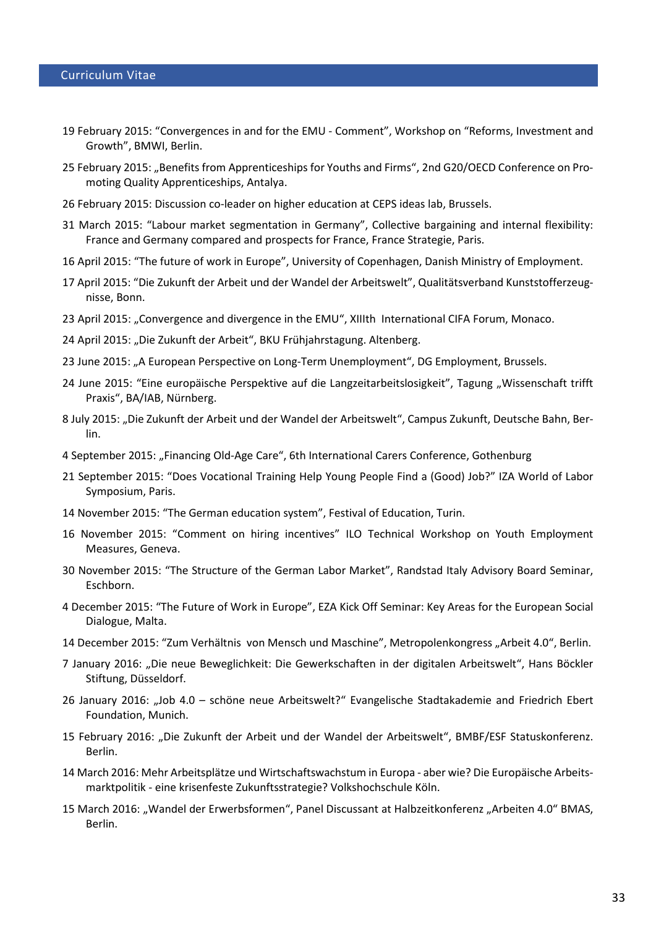- 19 February 2015: "Convergences in and for the EMU Comment", Workshop on "Reforms, Investment and Growth", BMWI, Berlin.
- 25 February 2015: "Benefits from Apprenticeships for Youths and Firms", 2nd G20/OECD Conference on Promoting Quality Apprenticeships, Antalya.
- 26 February 2015: Discussion co-leader on higher education at CEPS ideas lab, Brussels.
- 31 March 2015: "Labour market segmentation in Germany", Collective bargaining and internal flexibility: France and Germany compared and prospects for France, France Strategie, Paris.
- 16 April 2015: "The future of work in Europe", University of Copenhagen, Danish Ministry of Employment.
- 17 April 2015: "Die Zukunft der Arbeit und der Wandel der Arbeitswelt", Qualitätsverband Kunststofferzeugnisse, Bonn.
- 23 April 2015: "Convergence and divergence in the EMU", XIIIth International CIFA Forum, Monaco.
- 24 April 2015: "Die Zukunft der Arbeit", BKU Frühjahrstagung. Altenberg.
- 23 June 2015: "A European Perspective on Long-Term Unemployment", DG Employment, Brussels.
- 24 June 2015: "Eine europäische Perspektive auf die Langzeitarbeitslosigkeit", Tagung "Wissenschaft trifft Praxis", BA/IAB, Nürnberg.
- 8 July 2015: "Die Zukunft der Arbeit und der Wandel der Arbeitswelt", Campus Zukunft, Deutsche Bahn, Berlin.
- 4 September 2015: "Financing Old-Age Care", 6th International Carers Conference, Gothenburg
- 21 September 2015: "Does Vocational Training Help Young People Find a (Good) Job?" IZA World of Labor Symposium, Paris.
- 14 November 2015: "The German education system", Festival of Education, Turin.
- 16 November 2015: "Comment on hiring incentives" ILO Technical Workshop on Youth Employment Measures, Geneva.
- 30 November 2015: "The Structure of the German Labor Market", Randstad Italy Advisory Board Seminar, Eschborn.
- 4 December 2015: "The Future of Work in Europe", EZA Kick Off Seminar: Key Areas for the European Social Dialogue, Malta.
- 14 December 2015: "Zum Verhältnis von Mensch und Maschine", Metropolenkongress "Arbeit 4.0", Berlin.
- 7 January 2016: "Die neue Beweglichkeit: Die Gewerkschaften in der digitalen Arbeitswelt", Hans Böckler Stiftung, Düsseldorf.
- 26 January 2016: "Job 4.0 schöne neue Arbeitswelt?" Evangelische Stadtakademie and Friedrich Ebert Foundation, Munich.
- 15 February 2016: "Die Zukunft der Arbeit und der Wandel der Arbeitswelt", BMBF/ESF Statuskonferenz. Berlin.
- 14 March 2016: Mehr Arbeitsplätze und Wirtschaftswachstum in Europa aber wie? Die Europäische Arbeitsmarktpolitik - eine krisenfeste Zukunftsstrategie? Volkshochschule Köln.
- 15 March 2016: "Wandel der Erwerbsformen", Panel Discussant at Halbzeitkonferenz "Arbeiten 4.0" BMAS, Berlin.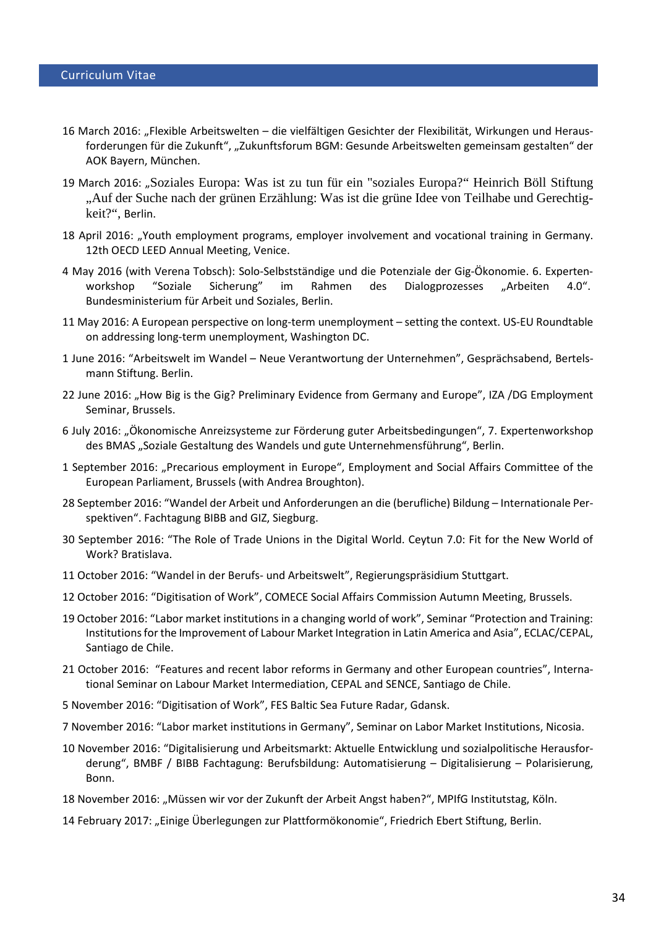- 16 March 2016: "Flexible Arbeitswelten die vielfältigen Gesichter der Flexibilität, Wirkungen und Herausforderungen für die Zukunft", "Zukunftsforum BGM: Gesunde Arbeitswelten gemeinsam gestalten" der AOK Bayern, München.
- 19 March 2016: "Soziales Europa: Was ist zu tun für ein "soziales Europa?" Heinrich Böll Stiftung "Auf der Suche nach der grünen Erzählung: Was ist die grüne Idee von Teilhabe und Gerechtigkeit?", Berlin.
- 18 April 2016: "Youth employment programs, employer involvement and vocational training in Germany. 12th OECD LEED Annual Meeting, Venice.
- 4 May 2016 (with Verena Tobsch): Solo-Selbstständige und die Potenziale der Gig-Ökonomie. 6. Expertenworkshop "Soziale Sicherung" im Rahmen des Dialogprozesses "Arbeiten 4.0". Bundesministerium für Arbeit und Soziales, Berlin.
- 11 May 2016: A European perspective on long-term unemployment setting the context. US-EU Roundtable on addressing long-term unemployment, Washington DC.
- 1 June 2016: "Arbeitswelt im Wandel Neue Verantwortung der Unternehmen", Gesprächsabend, Bertelsmann Stiftung. Berlin.
- 22 June 2016: "How Big is the Gig? Preliminary Evidence from Germany and Europe", IZA /DG Employment Seminar, Brussels.
- 6 July 2016: "Ökonomische Anreizsysteme zur Förderung guter Arbeitsbedingungen", 7. Expertenworkshop des BMAS "Soziale Gestaltung des Wandels und gute Unternehmensführung", Berlin.
- 1 September 2016: "Precarious employment in Europe", Employment and Social Affairs Committee of the European Parliament, Brussels (with Andrea Broughton).
- 28 September 2016: "Wandel der Arbeit und Anforderungen an die (berufliche) Bildung Internationale Perspektiven". Fachtagung BIBB and GIZ, Siegburg.
- 30 September 2016: "The Role of Trade Unions in the Digital World. Ceytun 7.0: Fit for the New World of Work? Bratislava.
- 11 October 2016: "Wandel in der Berufs- und Arbeitswelt", Regierungspräsidium Stuttgart.
- 12 October 2016: "Digitisation of Work", COMECE Social Affairs Commission Autumn Meeting, Brussels.
- 19 October 2016: "Labor market institutions in a changing world of work", Seminar "Protection and Training: Institutions for the Improvement of Labour Market Integration in Latin America and Asia", ECLAC/CEPAL, Santiago de Chile.
- 21 October 2016: "Features and recent labor reforms in Germany and other European countries", International Seminar on Labour Market Intermediation, CEPAL and SENCE, Santiago de Chile.
- 5 November 2016: "Digitisation of Work", FES Baltic Sea Future Radar, Gdansk.
- 7 November 2016: "Labor market institutions in Germany", Seminar on Labor Market Institutions, Nicosia.
- 10 November 2016: "Digitalisierung und Arbeitsmarkt: Aktuelle Entwicklung und sozialpolitische Herausforderung", BMBF / BIBB Fachtagung: Berufsbildung: Automatisierung – Digitalisierung – Polarisierung, Bonn.
- 18 November 2016: "Müssen wir vor der Zukunft der Arbeit Angst haben?", MPIfG Institutstag, Köln.
- 14 February 2017: "Einige Überlegungen zur Plattformökonomie", Friedrich Ebert Stiftung, Berlin.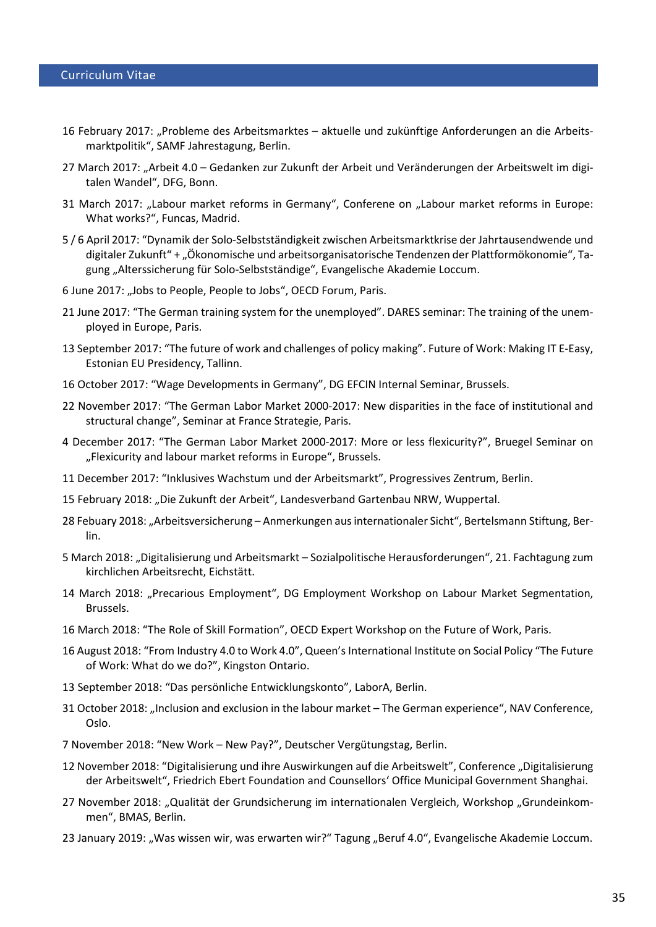- 16 February 2017: "Probleme des Arbeitsmarktes aktuelle und zukünftige Anforderungen an die Arbeitsmarktpolitik", SAMF Jahrestagung, Berlin.
- 27 March 2017: "Arbeit 4.0 Gedanken zur Zukunft der Arbeit und Veränderungen der Arbeitswelt im digitalen Wandel", DFG, Bonn.
- 31 March 2017: "Labour market reforms in Germany", Conferene on "Labour market reforms in Europe: What works?", Funcas, Madrid.
- 5 / 6 April 2017: "Dynamik der Solo-Selbstständigkeit zwischen Arbeitsmarktkrise der Jahrtausendwende und digitaler Zukunft" + "Ökonomische und arbeitsorganisatorische Tendenzen der Plattformökonomie", Tagung "Alterssicherung für Solo-Selbstständige", Evangelische Akademie Loccum.
- 6 June 2017: "Jobs to People, People to Jobs", OECD Forum, Paris.
- 21 June 2017: "The German training system for the unemployed". DARES seminar: The training of the unemployed in Europe, Paris.
- 13 September 2017: "The future of work and challenges of policy making". Future of Work: Making IT E-Easy, Estonian EU Presidency, Tallinn.
- 16 October 2017: "Wage Developments in Germany", DG EFCIN Internal Seminar, Brussels.
- 22 November 2017: "The German Labor Market 2000-2017: New disparities in the face of institutional and structural change", Seminar at France Strategie, Paris.
- 4 December 2017: "The German Labor Market 2000-2017: More or less flexicurity?", Bruegel Seminar on "Flexicurity and labour market reforms in Europe", Brussels.
- 11 December 2017: "Inklusives Wachstum und der Arbeitsmarkt", Progressives Zentrum, Berlin.
- 15 February 2018: "Die Zukunft der Arbeit", Landesverband Gartenbau NRW, Wuppertal.
- 28 Febuary 2018: "Arbeitsversicherung Anmerkungen aus internationaler Sicht", Bertelsmann Stiftung, Berlin.
- 5 March 2018: "Digitalisierung und Arbeitsmarkt Sozialpolitische Herausforderungen", 21. Fachtagung zum kirchlichen Arbeitsrecht, Eichstätt.
- 14 March 2018: "Precarious Employment", DG Employment Workshop on Labour Market Segmentation, Brussels.
- 16 March 2018: "The Role of Skill Formation", OECD Expert Workshop on the Future of Work, Paris.
- 16 August 2018: "From Industry 4.0 to Work 4.0", Queen's International Institute on Social Policy "The Future of Work: What do we do?", Kingston Ontario.
- 13 September 2018: "Das persönliche Entwicklungskonto", LaborA, Berlin.
- 31 October 2018: "Inclusion and exclusion in the labour market The German experience", NAV Conference, Oslo.
- 7 November 2018: "New Work New Pay?", Deutscher Vergütungstag, Berlin.
- 12 November 2018: "Digitalisierung und ihre Auswirkungen auf die Arbeitswelt", Conference "Digitalisierung der Arbeitswelt", Friedrich Ebert Foundation and Counsellors' Office Municipal Government Shanghai.
- 27 November 2018: "Qualität der Grundsicherung im internationalen Vergleich, Workshop "Grundeinkommen", BMAS, Berlin.
- 23 January 2019: "Was wissen wir, was erwarten wir?" Tagung "Beruf 4.0", Evangelische Akademie Loccum.